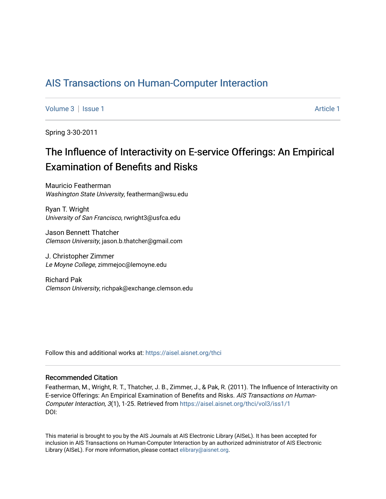## [AIS Transactions on Human-Computer Interaction](https://aisel.aisnet.org/thci)

[Volume 3](https://aisel.aisnet.org/thci/vol3) | [Issue 1](https://aisel.aisnet.org/thci/vol3/iss1) Article 1

Spring 3-30-2011

## The Influence of Interactivity on E-service Offerings: An Empirical Examination of Benefits and Risks

Mauricio Featherman Washington State University, featherman@wsu.edu

Ryan T. Wright University of San Francisco, rwright3@usfca.edu

Jason Bennett Thatcher Clemson University, jason.b.thatcher@gmail.com

J. Christopher Zimmer Le Moyne College, zimmejoc@lemoyne.edu

Richard Pak Clemson University, richpak@exchange.clemson.edu

Follow this and additional works at: [https://aisel.aisnet.org/thci](https://aisel.aisnet.org/thci?utm_source=aisel.aisnet.org%2Fthci%2Fvol3%2Fiss1%2F1&utm_medium=PDF&utm_campaign=PDFCoverPages) 

## Recommended Citation

Featherman, M., Wright, R. T., Thatcher, J. B., Zimmer, J., & Pak, R. (2011). The Influence of Interactivity on E-service Offerings: An Empirical Examination of Benefits and Risks. AIS Transactions on Human-Computer Interaction, 3(1), 1-25. Retrieved from [https://aisel.aisnet.org/thci/vol3/iss1/1](https://aisel.aisnet.org/thci/vol3/iss1/1?utm_source=aisel.aisnet.org%2Fthci%2Fvol3%2Fiss1%2F1&utm_medium=PDF&utm_campaign=PDFCoverPages)  DOI:

This material is brought to you by the AIS Journals at AIS Electronic Library (AISeL). It has been accepted for inclusion in AIS Transactions on Human-Computer Interaction by an authorized administrator of AIS Electronic Library (AISeL). For more information, please contact [elibrary@aisnet.org.](mailto:elibrary@aisnet.org%3E)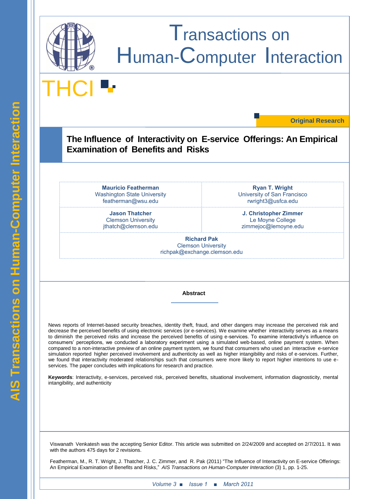

**THCI** 

**Original Research**

**The Influence of Interactivity on E-service Offerings: An Empirical Examination of Benefits and Risks**

**Mauricio Featherman** Washington State University featherman@wsu.edu

> **Jason Thatcher** Clemson University jthatch@clemson.edu

**Ryan T. Wright** University of San Francisco rwright3@usfca.edu

**J. Christopher Zimmer** Le Moyne College zimmejoc@lemoyne.edu

**Richard Pak** Clemson University richpak@exchange.clemson.edu

**Abstract**

News reports of Internet-based security breaches, identity theft, fraud, and other dangers may increase the perceived risk and decrease the perceived benefits of using electronic services (or e-services). We examine whether interactivity serves as a means to diminish the perceived risks and increase the perceived benefits of using e-services. To examine interactivity"s influence on consumers" perceptions, we conducted a laboratory experiment using a simulated web-based, online payment system. When compared to a non-interactive preview of an online payment system, we found that consumers who used an interactive e-service simulation reported higher perceived involvement and authenticity as well as higher intangibility and risks of e-services. Further, we found that interactivity moderated relationships such that consumers were more likely to report higher intentions to use eservices. The paper concludes with implications for research and practice.

**Keywords**: Interactivity, e-services, perceived risk, perceived benefits, situational involvement, information diagnosticity, mental intangibility, and authenticity

Viswanath Venkatesh was the accepting Senior Editor. This article was submitted on 2/24/2009 and accepted on 2/7/2011. It was with the authors 475 days for 2 revisions.

Featherman, M., R. T. Wright, J. Thatcher, J. C. Zimmer, and R. Pak (2011) "The Influence of Interactivity on E-service Offerings: An Empirical Examination of Benefits and Risks," *AIS Transactions on Human-Computer Interaction* (3) 1, pp. 1-25.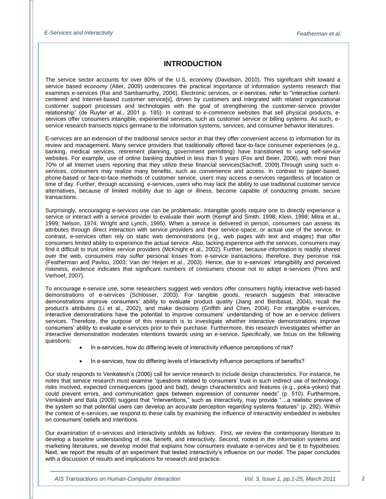## **INTRODUCTION**

The service sector accounts for over 80% of the U.S. economy (Davidson, 2010). This significant shift toward a service based economy (Alter, 2009) underscores the practical importance of information systems research that examines e-services (Rai and Sambamurthy, 2006). Electronic services, or e-services, refer to "interactive contentcentered and Internet-based customer service[s], driven by customers and integrated with related organizational customer support processes and technologies with the goal of strengthening the customer-service provider relationship" (de Ruyter et al., 2001 p. 185). In contrast to e-commerce websites that sell physical products, eservices offer consumers intangible, experiential services, such as customer service or billing systems. As such, eservice research transects topics germane to the information systems, services, and consumer behavior literatures.

E-services are an extension of the traditional service sector in that they offer convenient access to information for its review and management. Many service providers that traditionally offered face-to-face consumer experiences (e.g., banking, medical services, retirement planning, government permitting) have transitioned to using self-service websites. For example, use of online banking doubled in less than 5 years (Fox and Beier, 2006), with more than 70% of all Internet users reporting that they utilize these financial services(Sachoff, 2009).Through using such eservices, consumers may realize many benefits, such as convenience and access. In contrast to paper-based, phone-based or face-to-face methods of customer service, users may access e-services regardless of location or time of day. Further, through accessing e-services, users who may lack the ability to use traditional customer service alternatives, because of limited mobility due to age or illness, become capable of conducting private, secure transactions.

Surprisingly, encouraging e-services use can be problematic. Intangible goods require one to directly experience a service or interact with a service provider to evaluate their worth (Kempf and Smith, 1998; Klein, 1998; Mitra et al., 1999; Nelson, 1974; Wright and Lynch, 1995). When a service is delivered in person, consumers can assess its attributes through direct interaction with service providers and their service-space, or actual use of the service. In contrast, e-services often rely on static web demonstrations (e.g., web pages with text and images) that offer consumers limited ability to experience the actual service. Also, lacking experience with the services, consumers may find it difficult to trust online service providers (McKnight et al., 2002). Further, because information is readily shared over the web, consumers may suffer personal losses from e-service transactions; therefore, they perceive risk (Featherman and Pavlou, 2003; Van der Heijen et al., 2003). Hence, due to e-services" intangibility and perceived riskiness, evidence indicates that significant numbers of consumers choose not to adopt e-services (Prins and Verhoef, 2007).

To encourage e-service use, some researchers suggest web vendors offer consumers highly interactive web-based demonstrations of e-services (Schlosser, 2003). For tangible goods, research suggests that interactive demonstrations improve consumers" ability to evaluate product quality (Jiang and Benbasat, 2004), recall the product"s attributes (Li et al., 2002), and make decisions (Griffith and Chen, 2004). For intangible e-services, interactive demonstrations have the potential to improve consumers" understanding of how an e-service delivers services. Therefore, the purpose of this research is to investigate whether interactive demonstrations improve consumers" ability to evaluate e-services prior to their purchase. Furthermore, this research investigates whether an interactive demonstration moderates intentions towards using an e-service. Specifically, we focus on the following questions:

- In e-services, how do differing levels of interactivity influence perceptions of risk?
- In e-services, how do differing levels of interactivity influence perceptions of benefits?

Our study responds to Venkatesh"s (2006) call for service research to include design characteristics. For instance, he notes that service research must examine "questions related to consumers" trust in such indirect use of technology, risks involved, expected consequences (good and bad), design characteristics and features (e.g., poka-yokes) that could prevent errors, and communication gaps between expression of consumer needs" (p. 510). Furthermore, Venkatesh and Bala (2008) suggest that "interventions," such as interactivity, may provide "…a realistic preview of the system so that potential users can develop an accurate perception regarding systems features" (p. 292). Within the context of e-services, we respond to these calls by examining the influence of interactivity embedded in websites on consumers" beliefs and intentions.

Our examination of e-services and interactivity unfolds as follows: First, we review the contemporary literature to develop a baseline understanding of risk, benefit, and interactivity. Second, rooted in the information systems and marketing literatures, we develop model that explains how consumers evaluate e-services and tie it to hypotheses. Next, we report the results of an experiment that tested interactivity"s influence on our model. The paper concludes with a discussion of results and implications for research and practice.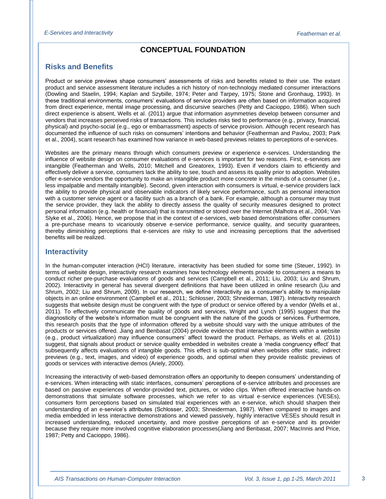## **CONCEPTUAL FOUNDATION**

## **Risks and Benefits**

Product or service previews shape consumers" assessments of risks and benefits related to their use. The extant product and service assessment literature includes a rich history of non-technology mediated consumer interactions (Dowling and Staelin, 1994; Kaplan and Szybille, 1974; Peter and Tarpey, 1975; Stone and Gronhaug, 1993). In these traditional environments, consumers" evaluations of service providers are often based on information acquired from direct experience, mental image processing, and discursive searches (Petty and Cacioppo, 1986). When such direct experience is absent, Wells et al. (2011) argue that information asymmetries develop between consumer and vendors that increases perceived risks of transactions. This includes risks tied to performance (e.g., privacy, financial, physical) and psycho-social (e.g., ego or embarrassment) aspects of service provision. Although recent research has documented the influence of such risks on consumers" intentions and behavior (Featherman and Pavlou, 2003; Park et al., 2004), scant research has examined how variance in web-based previews relates to perceptions of e-services.

Websites are the primary means through which consumers preview or experience e-services. Understanding the influence of website design on consumer evaluations of e-services is important for two reasons. First, e-services are intangible (Featherman and Wells, 2010; Mitchell and Greatorex, 1993). Even if vendors claim to efficiently and effectively deliver a service, consumers lack the ability to see, touch and assess its quality prior to adoption. Websites offer e-service vendors the opportunity to make an intangible product more concrete in the minds of a consumer (i.e., less impalpable and mentally intangible). Second, given interaction with consumers is virtual, e-service providers lack the ability to provide physical and observable indicators of likely service performance, such as personal interaction with a customer service agent or a facility such as a branch of a bank. For example, although a consumer may trust the service provider, they lack the ability to directly assess the quality of security measures designed to protect personal information (e.g. health or financial) that is transmitted or stored over the Internet (Malhotra et al., 2004; Van Slyke et al., 2006). Hence, we propose that in the context of e-services, web based demonstrations offer consumers a pre-purchase means to vicariously observe e-service performance, service quality, and security guarantees, thereby diminishing perceptions that e-services are risky to use and increasing perceptions that the advertised benefits will be realized.

## **Interactivity**

In the human-computer interaction (HCI) literature, interactivity has been studied for some time (Steuer, 1992). In terms of website design, interactivity research examines how technology elements provide to consumers a means to conduct richer pre-purchase evaluations of goods and services (Campbell et al., 2011; Liu, 2003; Liu and Shrum, 2002). Interactivity in general has several divergent definitions that have been utilized in online research (Liu and Shrum, 2002; Liu and Shrum, 2009). In our research, we define interactivity as a consumer"s ability to manipulate objects in an online environment (Campbell et al., 2011; Schlosser, 2003; Shneiderman, 1987). Interactivity research suggests that website design must be congruent with the type of product or service offered by a vendor (Wells et al., 2011). To effectively communicate the quality of goods and services, Wright and Lynch (1995) suggest that the diagnosticity of the website"s information must be congruent with the nature of the goods or services. Furthermore, this research posits that the type of information offered by a website should vary with the unique attributes of the products or services offered. Jiang and Benbasat (2004) provide evidence that interactive elements within a website (e.g., product virtualization) may influence consumers" affect toward the product. Perhaps, as Wells et al. (2011) suggest, that signals about product or service quality embedded in websites create a "media congruency effect" that subsequently affects evaluations of intangible goods. This effect is sub-optimal when websites offer static, indirect previews (e.g., text, images, and video) of experience goods, and optimal when they provide realistic previews of goods or services with interactive demos (Ariely, 2000).

Increasing the interactivity of web-based demonstration offers an opportunity to deepen consumers" understanding of e-services. When interacting with static interfaces, consumers" perceptions of e-service attributes and processes are based on passive experiences of vendor-provided text, pictures, or video clips. When offered interactive hands-on demonstrations that simulate software processes, which we refer to as virtual e-service experiences (VESEs), consumers form perceptions based on simulated trial experiences with an e-service, which should sharpen their understanding of an e-service"s attributes (Schlosser, 2003; Shneiderman, 1987). When compared to images and media embedded in less interactive demonstrations and viewed passively, highly interactive VESEs should result in increased understanding, reduced uncertainty, and more positive perceptions of an e-service and its provider because they require more involved cognitive elaboration processes(Jiang and Benbasat, 2007; MacInnis and Price, 1987; Petty and Cacioppo, 1986).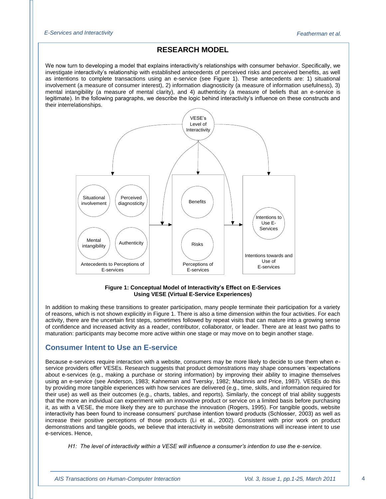## **RESEARCH MODEL**

We now turn to developing a model that explains interactivity"s relationships with consumer behavior. Specifically, we investigate interactivity"s relationship with established antecedents of perceived risks and perceived benefits, as well as intentions to complete transactions using an e-service (see Figure 1). These antecedents are: 1) situational involvement (a measure of consumer interest), 2) information diagnosticity (a measure of information usefulness), 3) mental intangibility (a measure of mental clarity), and 4) authenticity (a measure of beliefs that an e-service is legitimate). In the following paragraphs, we describe the logic behind interactivity"s influence on these constructs and their interrelationships.



#### **Figure 1: Conceptual Model of Interactivity's Effect on E-Services Using VESE (Virtual E-Service Experiences)**

In addition to making these transitions to greater participation, many people terminate their participation for a variety of reasons, which is not shown explicitly in Figure 1. There is also a time dimension within the four activities. For each activity, there are the uncertain first steps, sometimes followed by repeat visits that can mature into a growing sense of confidence and increased activity as a reader, contributor, collaborator, or leader. There are at least two paths to maturation: participants may become more active within one stage or may move on to begin another stage.

## **Consumer Intent to Use an E-service**

Because e-services require interaction with a website, consumers may be more likely to decide to use them when eservice providers offer VESEs. Research suggests that product demonstrations may shape consumers "expectations about e-services (e.g., making a purchase or storing information) by improving their ability to imagine themselves using an e-service (see Anderson, 1983; Kahneman and Tversky, 1982; MacInnis and Price, 1987). VESEs do this by providing more tangible experiences with how services are delivered (e.g., time, skills, and information required for their use) as well as their outcomes (e.g., charts, tables, and reports). Similarly, the concept of trial ability suggests that the more an individual can experiment with an innovative product or service on a limited basis before purchasing it, as with a VESE, the more likely they are to purchase the innovation (Rogers, 1995). For tangible goods, website interactivity has been found to increase consumers" purchase intention toward products (Schlosser, 2003) as well as increase their positive perceptions of those products (Li et al., 2002). Consistent with prior work on product demonstrations and tangible goods, we believe that interactivity in website demonstrations will increase intent to use e-services. Hence,

*H1: The level of interactivity within a VESE will influence a consumer's intention to use the e-service.*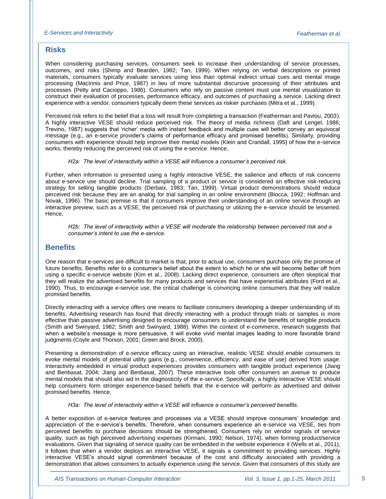## **Risks**

When considering purchasing services, consumers seek to increase their understanding of service processes, outcomes, and risks (Shimp and Bearden, 1982; Tan, 1999). When relying on verbal descriptions or printed materials, consumers typically evaluate services using less than optimal indirect virtual cues and mental image processing (MacInnis and Price, 1987) in lieu of more substantial discursive processing of their attributes and processes (Petty and Cacioppo, 1986). Consumers who rely on passive content must use mental visualization to construct their evaluation of processes, performance efficacy, and outcomes of purchasing a service. Lacking direct experience with a vendor, consumers typically deem these services as riskier purchases (Mitra et al., 1999).

Perceived risk refers to the belief that a loss will result from completing a transaction (Featherman and Pavlou, 2003). A highly interactive VESE should reduce perceived risk. The theory of media richness (Daft and Lengel, 1986; Trevino, 1987) suggests that "richer" media with instant feedback and multiple cues will better convey an equivocal message (e.g., an e-service provider"s claims of performance efficacy and promised benefits). Similarly, providing consumers with experience should help improve their mental models (Klein and Crandall, 1995) of how the e-service works, thereby reducing the perceived risk of using the e-service. Hence,

#### *H2a: The level of interactivity within a VESE will influence a consumer's perceived risk.*

Further, when information is presented using a highly interactive VESE, the salience and effects of risk concerns about e-service use should decline. Trial sampling of a product or service is considered an effective risk-reducing strategy for selling tangible products (Derbaix, 1983; Tan, 1999). Virtual product demonstrations should reduce perceived risk because they are an analog for trial sampling in an online environment (Biocca, 1992; Hoffman and Novak, 1996). The basic premise is that if consumers improve their understanding of an online service through an interactive preview, such as a VESE, the perceived risk of purchasing or utilizing the e-service should be lessened. Hence,

*H2b: The level of interactivity within a VESE will moderate the relationship between perceived risk and a consumer's intent to use the e-service.*

## **Benefits**

One reason that e-services are difficult to market is that, prior to actual use, consumers purchase only the promise of future benefits. Benefits refer to a consumer"s belief about the extent to which he or she will become better off from using a specific e-service website (Kim et al., 2008). Lacking direct experience, consumers are often skeptical that they will realize the advertised benefits for many products and services that have experiential attributes (Ford et al., 1990). Thus, to encourage e-service use, the critical challenge is convincing online consumers that they will realize promised benefits.

Directly interacting with a service offers one means to facilitate consumers developing a deeper understanding of its benefits. Advertising research has found that directly interacting with a product through trials or samples is more effective than passive advertising designed to encourage consumers to understand the benefits of tangible products (Smith and Swinyard, 1982; Smith and Swinyard, 1988). Within the context of e-commerce, research suggests that when a website's message is more persuasive, it will evoke vivid mental images leading to more favorable brand judgments (Coyle and Thorson, 2001; Green and Brock, 2000).

Presenting a demonstration of e-service efficacy using an interactive, realistic VESE should enable consumers to evoke mental models of potential utility gains (e.g., convenience, efficiency, and ease of use) derived from usage. Interactivity embedded in virtual product experiences provides consumers with tangible product experience (Jiang and Benbasat, 2004; Jiang and Benbasat, 2007). These interactive tools offer consumers an avenue to produce mental models that should also aid in the diagnosticity of the e-service. Specifically, a highly interactive VESE should help consumers form stronger experience-based beliefs that the e-service will perform as advertised and deliver promised benefits. Hence,

#### *H3a: The level of interactivity within a VESE will influence a consumer's perceived benefits.*

A better exposition of e-service features and processes via a VESE should improve consumers" knowledge and appreciation of the e-service"s benefits. Therefore, when consumers experience an e-service via VESE, ties from perceived benefits to purchase decisions should be strengthened. Consumers rely on vendor signals of service quality, such as high perceived advertising expenses (Kirmani, 1990; Nelson, 1974), when forming product/service evaluations. Given that signaling of service quality can be embedded in the website experience it (Wells et al., 2011), it follows that when a vendor deploys an interactive VESE, it signals a commitment to providing services. Highly interactive VESE"s should signal commitment because of the cost and difficulty associated with providing a demonstration that allows consumers to actually experience using the service. Given that consumers of this study are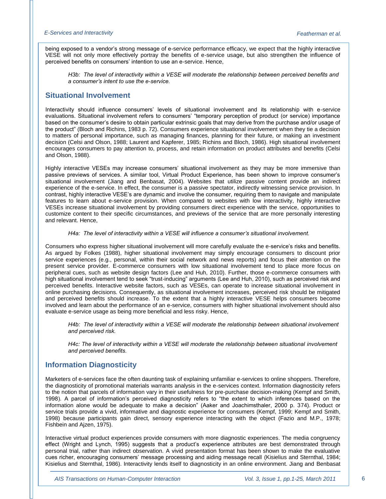being exposed to a vendor"s strong message of e-service performance efficacy, we expect that the highly interactive VESE will not only more effectively portray the benefits of e-service usage, but also strengthen the influence of perceived benefits on consumers" intention to use an e-service. Hence,

*H3b: The level of interactivity within a VESE will moderate the relationship between perceived benefits and a consumer's intent to use the e-service.*

## **Situational Involvement**

Interactivity should influence consumers" levels of situational involvement and its relationship with e-service evaluations. Situational involvement refers to consumers" "temporary perception of product (or service) importance based on the consumer"s desire to obtain particular extrinsic goals that may derive from the purchase and/or usage of the product" (Bloch and Richins, 1983 p. 72). Consumers experience situational involvement when they tie a decision to matters of personal importance, such as managing finances, planning for their future, or making an investment decision (Celsi and Olson, 1988; Laurent and Kapferer, 1985; Richins and Bloch, 1986). High situational involvement encourages consumers to pay attention to, process, and retain information on product attributes and benefits (Celsi and Olson, 1988).

Highly interactive VESEs may increase consumers" situational involvement as they may be more immersive than passive previews of services. A similar tool, Virtual Product Experience, has been shown to improve consumer"s situational involvement (Jiang and Benbasat, 2004). Websites that utilize passive content provide an indirect experience of the e-service. In effect, the consumer is a passive spectator, indirectly witnessing service provision. In contrast, highly interactive VESE"s are dynamic and involve the consumer, requiring them to navigate and manipulate features to learn about e-service provision. When compared to websites with low interactivity, highly interactive VESEs increase situational involvement by providing consumers direct experience with the service, opportunities to customize content to their specific circumstances, and previews of the service that are more personally interesting and relevant. Hence,

#### *H4a: The level of interactivity within a VESE will influence a consumer's situational involvement.*

Consumers who express higher situational involvement will more carefully evaluate the e-service"s risks and benefits. As argued by Folkes (1988), higher situational involvement may simply encourage consumers to discount prior service experiences (e.g., personal, within their social network and news reports) and focus their attention on the present service provider. E-commerce consumers with low situational involvement tend to place more focus on peripheral cues, such as website design factors (Lee and Huh, 2010). Further, those e-commerce consumers with high situational involvement tend to seek "trust-inducing" arguments (Lee and Huh, 2010), such as perceived risk and perceived benefits. Interactive website factors, such as VESEs, can operate to increase situational involvement in online purchasing decisions. Consequently, as situational involvement increases, perceived risk should be mitigated and perceived benefits should increase. To the extent that a highly interactive VESE helps consumers become involved and learn about the performance of an e-service, consumers with higher situational involvement should also evaluate e-service usage as being more beneficial and less risky. Hence,

*H4b: The level of interactivity within a VESE will moderate the relationship between situational involvement and perceived risk.* 

*H4c: The level of interactivity within a VESE will moderate the relationship between situational involvement and perceived benefits.*

## **Information Diagnosticity**

Marketers of e-services face the often daunting task of explaining unfamiliar e-services to online shoppers. Therefore, the diagnosticity of promotional materials warrants analysis in the e-services context. Information diagnosticity refers to the notion that parcels of information vary in their usefulness for pre-purchase decision-making (Kempf and Smith, 1998). A parcel of information"s perceived diagnosticity refers to "the extent to which inferences based on the information alone would be adequate to make a decision" (Aaker and Joachimsthaler, 2000 p. 374). Product or service trials provide a vivid, informative and diagnostic experience for consumers (Kempf, 1999; Kempf and Smith, 1998) because participants gain direct, sensory experience interacting with the object (Fazio and M.P., 1978; Fishbein and Ajzen, 1975).

Interactive virtual product experiences provide consumers with more diagnostic experiences. The media congruency effect (Wright and Lynch, 1995) suggests that a product's experience attributes are best demonstrated through personal trial, rather than indirect observation. A vivid presentation format has been shown to make the evaluative cues richer, encouraging consumers" message processing and aiding message recall (Kisielius and Sternthal, 1984; Kisielius and Sternthal, 1986). Interactivity lends itself to diagnosticity in an online environment. Jiang and Benbasat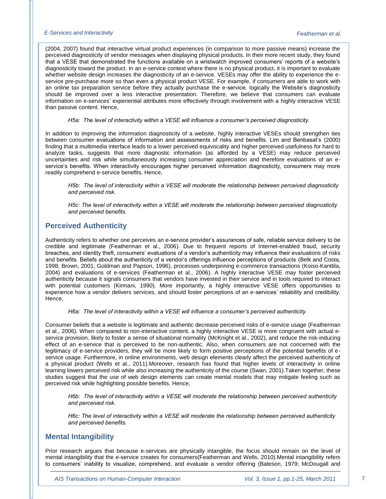(2004, 2007) found that interactive virtual product experiences (in comparison to more passive means) increase the perceived diagnosticity of vendor messages when displaying physical products. In their more recent study, they found that a VESE that demonstrated the functions available on a wristwatch improved consumers" reports of a website"s diagnosticity toward the product. In an e-service context where there is no physical product, it is important to evaluate whether website design increases the diagnosticity of an e-service. VESEs may offer the ability to experience the eservice pre-purchase more so than even a physical product VESE. For example, if consumers are able to work with an online tax preparation service before they actually purchase the e-service, logically the Website's diagnosticity should be improved over a less interactive presentation. Therefore, we believe that consumers can evaluate information on e-services" experiential attributes more effectively through involvement with a highly interactive VESE than passive content. Hence,

*H5a: The level of interactivity within a VESE will influence a consumer's perceived diagnosticity.*

In addition to improving the information diagnosticity of a website, highly interactive VESEs should strengthen ties between consumer evaluations of information and assessments of risks and benefits. Lim and Benbasat's (2000) finding that a multimedia interface leads to a lower perceived equivocality and higher perceived usefulness for hard to analyze tasks, suggests that more diagnostic information (as afforded by a VESE) may reduce perceived uncertainties and risk while simultaneously increasing consumer appreciation and therefore evaluations of an eservice's benefits. When interactivity encourages higher perceived information diagnosticity, consumers may more readily comprehend e-service benefits. Hence,

*H5b: The level of interactivity within a VESE will moderate the relationship between perceived diagnosticity and perceived risk.* 

*H5c: The level of interactivity within a VESE will moderate the relationship between perceived diagnosticity and perceived benefits.*

## **Perceived Authenticity**

Authenticity refers to whether one perceives an e-service provider"s assurances of safe, reliable service delivery to be credible and legitimate [\(Featherman et al., 2006\)](#page-16-0). Due to frequent reports of Internet-enabled fraud, security breaches, and identity theft, consumers" evaluations of a vendor"s authenticity may influence their evaluations of risks and benefits. Beliefs about the authenticity of a vendor"s offerings influence perceptions of products [\(Belk and Costa,](#page-16-1)  [1998;](#page-16-1) [Brown, 2001;](#page-16-2) [Goldman and Papson, 1996\)](#page-16-3), processes underpinning e-commerce transactions [\(Koiso-Kanttila,](#page-17-0)  [2004\)](#page-17-0) and evaluations of e-services [\(Featherman et al., 2006\)](#page-16-0). A highly interactive VESE may foster perceived authenticity because it signals consumers that vendors have invested in their service and in tools required to interact with potential customers [\(Kirmani, 1990\)](#page-17-1). More importantly, a highly interactive VESE offers opportunities to experience how a vendor delivers services, and should foster perceptions of an e-services' reliability and credibility. Hence,

*H6a: The level of interactivity within a VESE will influence a consumer's perceived authenticity.*

Consumer beliefs that a website is legitimate and authentic decrease perceived risks of e-service usage [\(Featherman](#page-16-0) [et al., 2006\)](#page-16-0). When compared to non-interactive content, a highly interactive VESE is more congruent with actual eservice provision, likely to foster a sense of situational normality [\(McKnight et al., 2002\)](#page-17-2), and reduce the risk-inducing effect of an e-service that is perceived to be non-authentic. Also, when consumers are not concerned with the legitimacy of e-service providers, they will be more likely to form positive perceptions of the potential benefits of eservice usage. Furthermore, in online environments, web design elements clearly affect the perceived authenticity of a physical product [\(Wells et al., 2011\)](#page-18-0).Moreover, research has found that higher levels of interactivity in online learning lowers perceived risk while also increasing the authenticity of the course [\(Swan, 2001\)](#page-18-1).Taken together, these studies suggest that the use of web design elements can create mental models that may mitigate feeling such as perceived risk while highlighting possible benefits. Hence,

*H6b: The level of interactivity within a VESE will moderate the relationship between perceived authenticity and perceived risk.* 

*H6c: The level of interactivity within a VESE will moderate the relationship between perceived authenticity and perceived benefits.*

## **Mental Intangibility**

Prior research argues that because e-services are physically intangible, the focus should remain on the level of mental intangibility that the e-service creates for consumers[\(Featherman and Wells, 2010\)](#page-16-4).Mental intangibility refers to consumers" inability to visualize, comprehend, and evaluate a vendor offering [\(Bateson, 1979;](#page-16-5) [McDougall and](#page-17-3)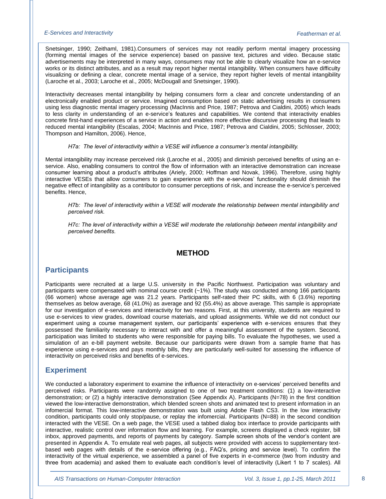[Snetsinger, 1990;](#page-17-3) [Zeithaml, 1981\)](#page-19-0).Consumers of services may not readily perform mental imagery processing (forming mental images of the service experience) based on passive text, pictures and video. Because static advertisements may be interpreted in many ways, consumers may not be able to clearly visualize how an e-service works or its distinct attributes, and as a result may report higher mental intangibility. When consumers have difficulty visualizing or defining a clear, concrete mental image of a service, they report higher levels of mental intangibility [\(Laroche et al., 2003;](#page-17-4) [Laroche et al., 2005;](#page-17-5) [McDougall and Snetsinger, 1990\)](#page-17-3).

Interactivity decreases mental intangibility by helping consumers form a clear and concrete understanding of an electronically enabled product or service. Imagined consumption based on static advertising results in consumers using less diagnostic mental imagery processing [\(MacInnis and Price, 1987;](#page-17-6) [Petrova and Cialdini, 2005\)](#page-18-2) which leads to less clarity in understanding of an e-service's features and capabilities. We contend that interactivity enables concrete first-hand experiences of a service in action and enables more effective discursive processing that leads to reduced mental intangibility [\(Escalas, 2004;](#page-16-6) [MacInnis and Price, 1987;](#page-17-6) [Petrova and Cialdini, 2005;](#page-18-2) [Schlosser, 2003;](#page-18-3) [Thompson and Hamilton, 2006\)](#page-18-4). Hence,

#### *H7a: The level of interactivity within a VESE will influence a consumer's mental intangibility.*

Mental intangibility may increase perceived risk [\(Laroche et al., 2005\)](#page-17-5) and diminish perceived benefits of using an eservice. Also, enabling consumers to control the flow of information with an interactive demonstration can increase consumer learning about a product's attributes [\(Ariely, 2000;](#page-15-0) [Hoffman and Novak, 1996\)](#page-16-7). Therefore, using highly interactive VESEs that allow consumers to gain experience with the e-services' functionality should diminish the negative effect of intangibility as a contributor to consumer perceptions of risk, and increase the e-service's perceived benefits. Hence,

*H7b: The level of interactivity within a VESE will moderate the relationship between mental intangibility and perceived risk.* 

*H7c: The level of interactivity within a VESE will moderate the relationship between mental intangibility and perceived benefits.* 

## **METHOD**

## **Participants**

Participants were recruited at a large U.S. university in the Pacific Northwest. Participation was voluntary and participants were compensated with nominal course credit (~1%). The study was conducted among 166 participants (66 women) whose average age was 21.2 years. Participants self-rated their PC skills, with 6 (3.6%) reporting themselves as below average, 68 (41.0%) as average and 92 (55.4%) as above average. This sample is appropriate for our investigation of e-services and interactivity for two reasons. First, at this university, students are required to use e-services to view grades, download course materials, and upload assignments. While we did not conduct our experiment using a course management system, our participants' experience with e-services ensures that they possessed the familiarity necessary to interact with and offer a meaningful assessment of the system. Second, participation was limited to students who were responsible for paying bills. To evaluate the hypotheses, we used a simulation of an e-bill payment website. Because our participants were drawn from a sample frame that has experience using e-services and pays monthly bills, they are particularly well-suited for assessing the influence of interactivity on perceived risks and benefits of e-services.

## **Experiment**

We conducted a laboratory experiment to examine the influence of interactivity on e-services' perceived benefits and perceived risks. Participants were randomly assigned to one of two treatment conditions: (1) a low-interactive demonstration; or (2) a highly interactive demonstration (See Appendix A). Participants (N=78) in the first condition viewed the low-interactive demonstration, which blended screen shots and animated text to present information in an infomercial format. This low-interactive demonstration was built using Adobe Flash CS3. In the low interactivity condition, participants could only stop/pause, or replay the infomercial. Participants (N=88) in the second condition interacted with the VESE. On a web page, the VESE used a tabbed dialog box interface to provide participants with interactive, realistic control over information flow and learning. For example, screens displayed a check register, bill inbox, approved payments, and reports of payments by category. Sample screen shots of the vendor"s content are presented in Appendix A. To emulate real web pages, all subjects were provided with access to supplementary textbased web pages with details of the e-service offering (e.g., FAQ"s, pricing and service level). To confirm the interactivity of the virtual experience, we assembled a panel of five experts in e-commerce (two from industry and three from academia) and asked them to evaluate each condition"s level of interactivity (Likert 1 to 7 scales). All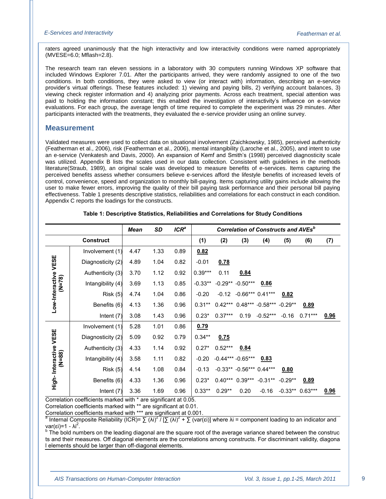raters agreed unanimously that the high interactivity and low interactivity conditions were named appropriately (MVESE=6.0; Mflash=2.8).

The research team ran eleven sessions in a laboratory with 30 computers running Windows XP software that included Windows Explorer 7.01. After the participants arrived, they were randomly assigned to one of the two conditions. In both conditions, they were asked to view (or interact with) information, describing an e-service provider"s virtual offerings. These features included: 1) viewing and paying bills, 2) verifying account balances, 3) viewing check register information and 4) analyzing prior payments. Across each treatment, special attention was paid to holding the information constant; this enabled the investigation of interactivity's influence on e-service evaluations. For each group, the average length of time required to complete the experiment was 29 minutes. After participants interacted with the treatments, they evaluated the e-service provider using an online survey.

#### **Measurement**

Validated measures were used to collect data on situational involvement [\(Zaichkowsky, 1985\)](#page-19-1), perceived authenticity [\(Featherman et al., 2006\)](#page-16-0), risk [\(Featherman et al., 2006\)](#page-16-0), mental intangibility [\(Laroche et al., 2005\)](#page-17-5), and intent to use an e-service [\(Venkatesh and Davis, 2000\)](#page-18-5). An expansion of Kemf and Smith"s [\(1998\)](#page-17-7) perceived diagnosticity scale was utilized. Appendix B lists the scales used in our data collection. Consistent with guidelines in the methods literature[\(Straub, 1989\)](#page-18-6), an original scale was developed to measure benefits of e-services. Items capturing the perceived benefits assess whether consumers believe e-services afford the lifestyle benefits of increased levels of control, convenience, speed and organization to monthly bill-paying. Items capturing utility gains include allowing the user to make fewer errors, improving the quality of their bill paying task performance and their personal bill paying effectiveness. Table 1 presents descriptive statistics, reliabilities and correlations for each construct in each condition. Appendix C reports the loadings for the constructs.

|                        |                   | <b>Mean</b> | SD   | $ICR^a$ |           | <b>Correlation of Constructs and AVEs</b> <sup>b</sup> |                              |                                      |           |                  |      |  |
|------------------------|-------------------|-------------|------|---------|-----------|--------------------------------------------------------|------------------------------|--------------------------------------|-----------|------------------|------|--|
| <b>Construct</b>       |                   |             |      |         | (1)       | (2)                                                    | (3)                          | (4)                                  | (5)       | (6)              | (7)  |  |
|                        | Involvement (1)   | 4.47        | 1.33 | 0.89    | 0.82      |                                                        |                              |                                      |           |                  |      |  |
|                        | Diagnosticity (2) | 4.89        | 1.04 | 0.82    | $-0.01$   | 0.78                                                   |                              |                                      |           |                  |      |  |
|                        | Authenticity (3)  | 3.70        | 1.12 | 0.92    | $0.39***$ | 0.11                                                   | 0.84                         |                                      |           |                  |      |  |
| $(N=78)$               | Intangibility (4) | 3.69        | 1.13 | 0.85    | $-0.33**$ |                                                        | $-0.29** -0.50***$           | 0.86                                 |           |                  |      |  |
| Low-Interactive VESE   | <b>Risk (5)</b>   | 4.74        | 1.04 | 0.86    | $-0.20$   | $-0.12$                                                | $-0.66***0.41***$            |                                      | 0.82      |                  |      |  |
|                        | Benefits (6)      | 4.13        | 1.36 | 0.96    | $0.31**$  |                                                        |                              | $0.42***$ $0.48***$ -0.58*** -0.29** |           | 0.89             |      |  |
|                        | Intent $(7)$      | 3.08        | 1.43 | 0.96    | $0.23*$   | $0.37***$                                              | 0.19                         | $-0.52***$                           | $-0.16$   | $0.71***$        | 0.96 |  |
|                        | Involvement (1)   | 5.28        | 1.01 | 0.86    | 0.79      |                                                        |                              |                                      |           |                  |      |  |
|                        | Diagnosticity (2) | 5.09        | 0.92 | 0.79    | $0.34**$  | 0.75                                                   |                              |                                      |           |                  |      |  |
|                        | Authenticity (3)  | 4.33        | 1.14 | 0.92    | $0.27*$   | $0.52***$                                              | 0.84                         |                                      |           |                  |      |  |
| $(N=88)$               | Intangibility (4) | 3.58        | 1.11 | 0.82    | $-0.20$   |                                                        | $-0.44***-0.65***$           | 0.83                                 |           |                  |      |  |
|                        | <b>Risk (5)</b>   | 4.14        | 1.08 | 0.84    | $-0.13$   |                                                        | $-0.33**$ $-0.56***$ 0.44*** |                                      | 0.80      |                  |      |  |
| High- Interactive VESE | Benefits (6)      | 4.33        | 1.36 | 0.96    | $0.23*$   |                                                        | $0.40***$ 0.39***            | $-0.31**$                            | $-0.29**$ | 0.89             |      |  |
|                        | Intent $(7)$      | 3.36        | 1.69 | 0.96    | $0.33**$  | $0.29**$                                               | 0.20                         | $-0.16$                              |           | $-0.33**0.63***$ | 0.96 |  |

#### **Table 1: Descriptive Statistics, Reliabilities and Correlations for Study Conditions**

Correlation coefficients marked with \* are significant at 0.05.

Correlation coefficients marked with \*\* are significant at 0.01.

Correlation coefficients marked with \*\*\* are significant at 0.001.<br><sup>a</sup> Internal Composite Reliability (ICR)= ∑ (λi)<sup>2</sup> / [∑ (λi)<sup>2</sup> + ∑ (var(εi)] where λi = component loading to an indicator and<br>\\gr(si)=1 var(εi)=1 - λi .

<sup>b</sup> The bold numbers on the leading diagonal are the square root of the average variance shared between the construc ts and their measures. Off diagonal elements are the correlations among constructs. For discriminant validity, diagona l elements should be larger than off-diagonal elements.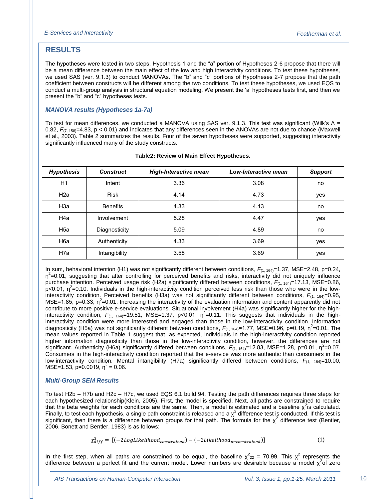## **RESULTS**

The hypotheses were tested in two steps. Hypothesis 1 and the "a" portion of Hypotheses 2-6 propose that there will be a mean difference between the main effect of the low and high interactivity conditions. To test these hypotheses, we used SAS (ver. 9.1.3) to conduct MANOVAs. The "b" and "c" portions of Hypotheses 2-7 propose that the path coefficient between constructs will be different among the two conditions. To test these hypotheses, we used EQS to conduct a multi-group analysis in structural equation modeling. We present the "a" hypotheses tests first, and then we present the "b" and "c" hypotheses tests.

## *MANOVA results (Hypotheses 1a-7a)*

To test for mean differences, we conducted a MANOVA using SAS ver. 9.1.3. This test was significant (Wilk"s Λ = 0.82,  $F_{(7, 158)}$ =4.83, p < 0.01) and indicates that any differences seen in the ANOVAs are not due to chance (Maxwell et al., 2003). Table 2 summarizes the results. Four of the seven hypotheses were supported, suggesting interactivity significantly influenced many of the study constructs.

| <b>Hypothesis</b> | <b>Construct</b> | <b>High-Interactive mean</b> | Low-Interactive mean | <b>Support</b> |
|-------------------|------------------|------------------------------|----------------------|----------------|
| H1                | Intent           | 3.36                         | 3.08                 | no             |
| H <sub>2a</sub>   | <b>Risk</b>      | 4.14                         | 4.73                 | yes            |
| H <sub>3</sub> a  | <b>Benefits</b>  | 4.33                         | 4.13                 | no             |
| H <sub>4</sub> a  | Involvement      | 5.28                         | 4.47                 | yes            |
| H <sub>5a</sub>   | Diagnosticity    | 5.09                         | 4.89                 | no             |
| H <sub>6</sub> a  | Authenticity     | 4.33                         | 3.69                 | yes            |
| H <sub>7</sub> a  | Intangibility    | 3.58                         | 3.69                 | yes            |

#### **Table2: Review of Main Effect Hypotheses.**

In sum, behavioral intention (H1) was not significantly different between conditions,  $F_{(1, 164)}=1.37$ , MSE=2.48, p=0.24,  $\eta^2$ =0.01, suggesting that after controlling for perceived benefits and risks, interactivity did not uniquely influence purchase intention. Perceived usage risk (H2a) significantly differed between conditions,  $F_{(1, 164)}=17.13$ , MSE=0.86,  $p$ <0.01,  $\eta^2$ =0.10. Individuals in the high-interactivity condition perceived less risk than those who were in the lowinteractivity condition. Perceived benefits (H3a) was not significantly different between conditions,  $F_{(1, 164)} = 0.95$ , MSE=1.85, p=0.33,  $\eta^2$ =0.01. Increasing the interactivity of the evaluation information and content apparently did not contribute to more positive e-service evaluations. Situational involvement (H4a) was significantly higher for the highinteractivity condition,  $F_{(1, 164)} = 19.51$ , MSE=1.37, p<0.01,  $\eta^2 = 0.11$ . This suggests that individuals in the highinteractivity condition were more interested and engaged than those in the low-interactivity condition. Information diagnosticity (H5a) was not significantly different between conditions,  $F_{(1, 164)}$ =1.77, MSE=0.96, p=0.19, η<sup>2</sup>=0.01. The mean values reported in Table 1 suggest that, as expected, individuals in the high-interactivity condition reported higher information diagnosticity than those in the low-interactivity condition, however, the differences are not significant. Authenticity (H6a) significantly differed between conditions,  $F_{(1, 164)}$ =12.83, MSE=1.28, p=0.01,  $\eta^2$ =0.07. Consumers in the high-interactivity condition reported that the e-service was more authentic than consumers in the low-interactivity condition. Mental intangibility (H7a) significantly differed between conditions, *F*(1, 164)=10.00,  $MSE=1.53$ ,  $p=0.0019$ ,  $\eta^2=0.06$ .

#### *Multi-Group SEM Results*

To test H2b – H7b and H2c – H7c, we used EQS 6.1 build 94. Testing the path differences requires three steps for each hypothesized relationship[\(Klein, 2005\)](#page-17-8). First, the model is specified. Next, all paths are constrained to require that the beta weights for each conditions are the same. Then, a model is estimated and a baseline  $\chi^2$ is calculated. Finally, to test each hypothesis, a single path constraint is released and a  $\chi^2$  difference test is conducted. If this test is significant, then there is a difference between groups for that path. The formula for the  $\chi^2$  difference test (Bentler, [2006,](#page-16-8) [Bonett and Bentler, 1983\)](#page-16-9) is as follows:

$$
\chi_{diff}^2 = [(-2LogLikelihood_{constrained}) - (-2Likelihood_{unconstrained})]
$$
 (1)

In the first step, when all paths are constrained to be equal, the baseline  $\chi^2_{22}$  = 70.99. This  $\chi^2$  represents the difference between a perfect fit and the current model. Lower numbers are desirable because a model  $\chi^2$ of zero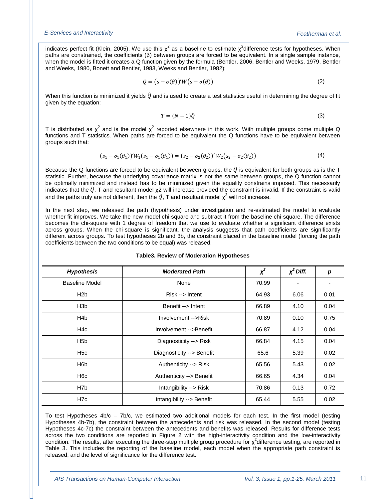indicates perfect fit [\(Klein,](#page-17-8) 2005). We use this  $\chi^2$  as a baseline to estimate  $\chi^2$ difference tests for hypotheses. When paths are constrained, the coefficients (β) between groups are forced to be equivalent. In a single sample instance, when the model is fitted it creates a Q function given by the formula [\(Bentler, 2006,](#page-16-8) [Bentler and Weeks, 1979,](#page-16-10) [Bentler](#page-16-11)  [and Weeks, 1980,](#page-16-11) [Bonett and Bentler, 1983,](#page-16-9) [Weeks and Bentler, 1982\)](#page-18-7):

$$
Q = (s - \sigma(\theta))'W(s - \sigma(\theta))
$$
\n(2)

When this function is minimized it yields  $\hat{Q}$  and is used to create a test statistics useful in determining the degree of fit given by the equation:

$$
T = (N-1)\hat{Q}
$$
 (3)

T is distributed as  $\chi^2$  and is the model  $\chi^2$  reported elsewhere in this work. With multiple groups come multiple Q functions and T statistics. When paths are forced to be equivalent the Q functions have to be equivalent between groups such that:

$$
(s_1 - \sigma_1(\theta_1))'W_1(s_1 - \sigma_1(\theta_1)) = (s_2 - \sigma_2(\theta_2))'W_2(s_2 - \sigma_2(\theta_2))
$$
\n(4)

Because the Q functions are forced to be equivalent between groups, the  $\hat{\varrho}$  is equivalent for both groups as is the T statistic. Further, because the underlying covariance matrix is not the same between groups, the Q function cannot be optimally minimized and instead has to be minimized given the equality constrains imposed. This necessarily indicates that the  $\hat{Q}$ , T and resultant model  $\chi$ 2 will increase provided the constraint is invalid. If the constraint is valid and the paths truly are not different, then the  $\hat{Q}$ , T and resultant model  $\chi^2$  will not increase.

In the next step, we released the path (hypothesis) under investigation and re-estimated the model to evaluate whether fit improves. We take the new model chi-square and subtract it from the baseline chi-square. The difference becomes the chi-square with 1 degree of freedom that we use to evaluate whether a significant difference exists across groups. When the chi-square is significant, the analysis suggests that path coefficients are significantly different across groups. To test hypotheses 2b and 3b, the constraint placed in the baseline model (forcing the path coefficients between the two conditions to be equal) was released.

| <b>Hypothesis</b>     | <b>Moderated Path</b>     | $x^2$ | $\chi^2$ Diff. | p    |
|-----------------------|---------------------------|-------|----------------|------|
| <b>Baseline Model</b> | None                      | 70.99 |                |      |
| H2b                   | Risk --> Intent           | 64.93 | 6.06           | 0.01 |
| H <sub>3</sub> b      | Benefit --> Intent        | 66.89 | 4.10           | 0.04 |
| H <sub>4</sub> b      | Involvement -->Risk       | 70.89 | 0.10           | 0.75 |
| H <sub>4</sub> c      | Involvement -->Benefit    | 66.87 | 4.12           | 0.04 |
| H <sub>5</sub> b      | Diagnosticity --> Risk    | 66.84 | 4.15           | 0.04 |
| H <sub>5c</sub>       | Diagnosticity --> Benefit | 65.6  | 5.39           | 0.02 |
| H <sub>6</sub> b      | Authenticity --> Risk     | 65.56 | 5.43           | 0.02 |
| H <sub>6</sub> c      | Authenticity --> Benefit  | 66.65 | 4.34           | 0.04 |
| H7b                   | Intangibility --> Risk    | 70.86 | 0.13           | 0.72 |
| H7c                   | intangibility --> Benefit | 65.44 | 5.55           | 0.02 |

To test Hypotheses 4b/c – 7b/c, we estimated two additional models for each test. In the first model (testing Hypotheses 4b-7b), the constraint between the antecedents and risk was released. In the second model (testing Hypotheses 4c-7c) the constraint between the antecedents and benefits was released. Results for difference tests across the two conditions are reported in Figure 2 with the high-interactivity condition and the low-interactivity condition. The results, after executing the three-step multiple group procedure for  $\chi^2$ difference testing, are reported in Table 3. This includes the reporting of the baseline model, each model when the appropriate path constraint is released, and the level of significance for the difference test.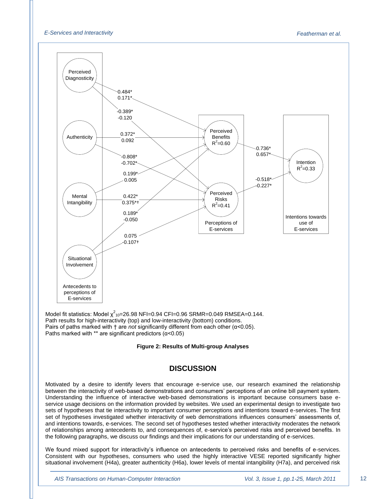

Model fit statistics: Model  $\chi^2$ <sub>10</sub>=26.98 NFI=0.94 CFI=0.96 SRMR=0.049 RMSEA=0.144. Path results for high-interactivity (top) and low-interactivity (bottom) conditions. Pairs of paths marked with † are *not* significantly different from each other (α<0.05). Paths marked with \*\* are significant predictors  $(a<0.05)$ 

#### **Figure 2: Results of Multi-group Analyses**

## **DISCUSSION**

Motivated by a desire to identify levers that encourage e-service use, our research examined the relationship between the interactivity of web-based demonstrations and consumers" perceptions of an online bill payment system. Understanding the influence of interactive web-based demonstrations is important because consumers base eservice usage decisions on the information provided by websites. We used an experimental design to investigate two sets of hypotheses that tie interactivity to important consumer perceptions and intentions toward e-services. The first set of hypotheses investigated whether interactivity of web demonstrations influences consumers" assessments of, and intentions towards, e-services. The second set of hypotheses tested whether interactivity moderates the network of relationships among antecedents to, and consequences of, e-service's perceived risks and perceived benefits. In the following paragraphs, we discuss our findings and their implications for our understanding of e-services.

We found mixed support for interactivity's influence on antecedents to perceived risks and benefits of e-services. Consistent with our hypotheses, consumers who used the highly interactive VESE reported significantly higher situational involvement (H4a), greater authenticity (H6a), lower levels of mental intangibility (H7a), and perceived risk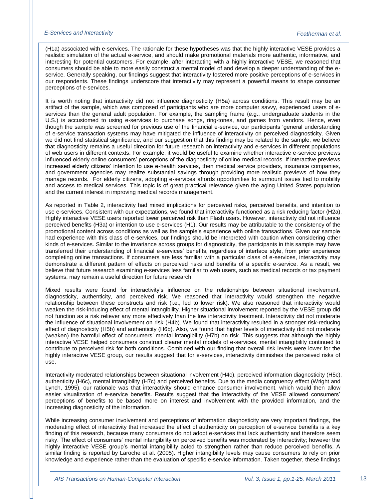(H1a) associated with e-services. The rationale for these hypotheses was that the highly interactive VESE provides a realistic simulation of the actual e-service, and should make promotional materials more authentic, informative, and interesting for potential customers. For example, after interacting with a highly interactive VESE, we reasoned that consumers should be able to more easily construct a mental model of and develop a deeper understanding of the eservice. Generally speaking, our findings suggest that interactivity fostered more positive perceptions of e-services in our respondents. These findings underscore that interactivity may represent a powerful means to shape consumer perceptions of e-services.

It is worth noting that interactivity did not influence diagnosticity (H5a) across conditions. This result may be an artifact of the sample, which was composed of participants who are more computer savvy, experienced users of eservices than the general adult population. For example, the sampling frame (e.g., undergraduate students in the U.S.) is accustomed to using e-services to purchase songs, ring-tones, and games from vendors. Hence, even though the sample was screened for previous use of the financial e-service, our participants "general understanding of e-service transaction systems may have mitigated the influence of interactivity on perceived diagnosticity. Given we did not find statistical significance, and our suggestion that this finding may be related to the sample, we believe that diagnosticity remains a useful direction for future research on interactivity and e-services in different populations of web users in different contexts. For example, it would be useful to examine whether interactive e-service previews influenced elderly online consumers" perceptions of the diagnosticity of online medical records. If interactive previews increased elderly citizens" intention to use e-health services, then medical service providers, insurance companies, and government agencies may realize substantial savings through providing more realistic previews of how they manage records. For elderly citizens, adopting e-services affords opportunities to surmount issues tied to mobility and access to medical services. This topic is of great practical relevance given the aging United States population and the current interest in improving medical records management.

As reported in Table 2, interactivity had mixed implications for perceived risks, perceived benefits, and intention to use e-services. Consistent with our expectations, we found that interactivity functioned as a risk reducing factor (H2a). Highly interactive VESE users reported lower perceived risk than Flash users. However, interactivity did not influence perceived benefits (H3a) or intention to use e-services (H1). Our results may be attributable to the consistency of the promotional content across conditions as well as the sample"s experience with online transactions. Given our sample had experience with this class of e-services, our findings should be interpreted with caution when considering other kinds of e-services. Similar to the invariance across groups for diagnosticity, the participants in this sample may have transferred their understanding of financial e-services" benefits, regardless of interface style, from prior experience completing online transactions. If consumers are less familiar with a particular class of e-services, interactivity may demonstrate a different pattern of effects on perceived risks and benefits of a specific e-service. As a result, we believe that future research examining e-services less familiar to web users, such as medical records or tax payment systems, may remain a useful direction for future research.

Mixed results were found for interactivity"s influence on the relationships between situational involvement, diagnosticity, authenticity, and perceived risk. We reasoned that interactivity would strengthen the negative relationship between these constructs and risk (i.e., led to lower risk). We also reasoned that interactivity would weaken the risk-inducing effect of mental intangibility. Higher situational involvement reported by the VESE group did not function as a risk reliever any more effectively than the low interactivity treatment. Interactivity did not moderate the influence of situational involvement on risk (H4b). We found that interactivity resulted in a stronger risk-reducing effect of diagnosticity (H5b) and authenticity (H6b). Also, we found that higher levels of interactivity did not moderate (weaken) the harmful effect of consumers" mental intangibility (H7b) on risk. This suggests that although the highly interactive VESE helped consumers construct clearer mental models of e-services, mental intangibility continued to contribute to perceived risk for both conditions. Combined with our finding that overall risk levels were lower for the highly interactive VESE group, our results suggest that for e-services, interactivity diminishes the perceived risks of use.

Interactivity moderated relationships between situational involvement (H4c), perceived information diagnosticity (H5c), authenticity (H6c), mental intangibility (H7c) and perceived benefits. Due to the media congruency effect (Wright and Lynch, 1995), our rationale was that interactivity should enhance consumer involvement, which would then allow easier visualization of e-service benefits. Results suggest that the interactivity of the VESE allowed consumers" perceptions of benefits to be based more on interest and involvement with the provided information, and the increasing diagnosticity of the information.

While increasing consumer involvement and perceptions of information diagnosticity are very important findings, the moderating effect of interactivity that increased the effect of authenticity on perception of e-service benefits is a key finding of this research, because many consumers do not adopt e-services that lack authenticity and therefore seem risky. The effect of consumers" mental intangibility on perceived benefits was moderated by interactivity; however the highly interactive VESE group's mental intangibility acted to strengthen rather than reduce perceived benefits. A similar finding is reported by Laroche et al. (2005). Higher intangibility levels may cause consumers to rely on prior knowledge and experience rather than the evaluation of specific e-service information. Taken together, these findings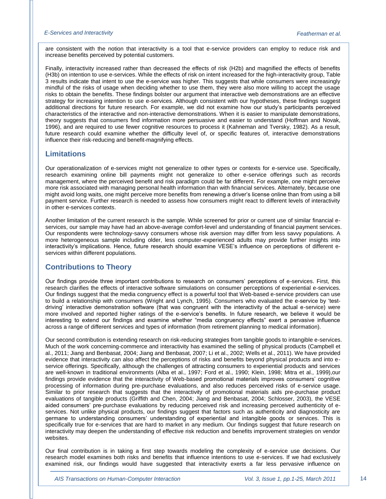are consistent with the notion that interactivity is a tool that e-service providers can employ to reduce risk and increase benefits perceived by potential customers.

Finally, interactivity increased rather than decreased the effects of risk (H2b) and magnified the effects of benefits (H3b) on intention to use e-services. While the effects of risk on intent increased for the high-interactivity group, Table 3 results indicate that intent to use the e-service was higher. This suggests that while consumers were increasingly mindful of the risks of usage when deciding whether to use them, they were also more willing to accept the usage risks to obtain the benefits. These findings bolster our argument that interactive web demonstrations are an effective strategy for increasing intention to use e-services. Although consistent with our hypotheses, these findings suggest additional directions for future research. For example, we did not examine how our study"s participants perceived characteristics of the interactive and non-interactive demonstrations. When it is easier to manipulate demonstrations, theory suggests that consumers find information more persuasive and easier to understand (Hoffman and Novak, 1996), and are required to use fewer cognitive resources to process it (Kahneman and Tversky, 1982). As a result, future research could examine whether the difficulty level of, or specific features of, interactive demonstrations influence their risk-reducing and benefit-magnifying effects.

## **Limitations**

Our operationalization of e-services might not generalize to other types or contexts for e-service use. Specifically, research examining online bill payments might not generalize to other e-service offerings such as records management, where the perceived benefit and risk paradigm could be far different. For example, one might perceive more risk associated with managing personal health information than with financial services. Alternately, because one might avoid long waits, one might perceive more benefits from renewing a driver's license online than from using a bill payment service. Further research is needed to assess how consumers might react to different levels of interactivity in other e-services contexts.

Another limitation of the current research is the sample. While screened for prior or current use of similar financial eservices, our sample may have had an above-average comfort-level and understanding of financial payment services. Our respondents were technology-savvy consumers whose risk aversion may differ from less savvy populations. A more heterogeneous sample including older, less computer-experienced adults may provide further insights into interactivity's implications. Hence, future research should examine VESE's influence on perceptions of different eservices within different populations.

## **Contributions to Theory**

Our findings provide three important contributions to research on consumers" perceptions of e-services. First, this research clarifies the effects of interactive software simulations on consumer perceptions of experiential e-services. Our findings suggest that the media congruency effect is a powerful tool that Web-based e-service providers can use to build a relationship with consumers (Wright and Lynch, 1995). Consumers who evaluated the e-service by "testdriving" interactive demonstration software (that was congruent with the interactivity of the actual e-service) were more involved and reported higher ratings of the e-service"s benefits. In future research, we believe it would be interesting to extend our findings and examine whether "media congruency effects" exert a pervasive influence across a range of different services and types of information (from retirement planning to medical information).

Our second contribution is extending research on risk-reducing strategies from tangible goods to intangible e-services. Much of the work concerning-commerce and interactivity has examined the selling of physical products (Campbell et al., 2011; Jiang and Benbasat, 2004; Jiang and Benbasat, 2007; Li et al., 2002; Wells et al., 2011). We have provided evidence that interactivity can also affect the perceptions of risks and benefits beyond physical products and into eservice offerings. Specifically, although the challenges of attracting consumers to experiential products and services are well-known in traditional environments (Alba et al., 1997; Ford et al., 1990; Klein, 1998; Mitra et al., 1999),our findings provide evidence that the interactivity of Web-based promotional materials improves consumers" cognitive processing of information during pre-purchase evaluations, and also reduces perceived risks of e-service usage. Similar to prior research that suggests that the interactivity of promotional materials aids pre-purchase product evaluations of tangible products (Griffith and Chen, 2004; Jiang and Benbasat, 2004; Schlosser, 2003), the VESE aided consumers" pre-purchase evaluations by reducing perceived risk and increasing perceived authenticity of eservices. Not unlike physical products, our findings suggest that factors such as authenticity and diagnosticity are germane to understanding consumers" understanding of experiential and intangible goods or services. This is specifically true for e-services that are hard to market in any medium. Our findings suggest that future research on interactivity may deepen the understanding of effective risk reduction and benefits improvement strategies on vendor websites.

Our final contribution is in taking a first step towards modeling the complexity of e-service use decisions. Our research model examines both risks and benefits that influence intentions to use e-services. If we had exclusively examined risk, our findings would have suggested that interactivity exerts a far less pervasive influence on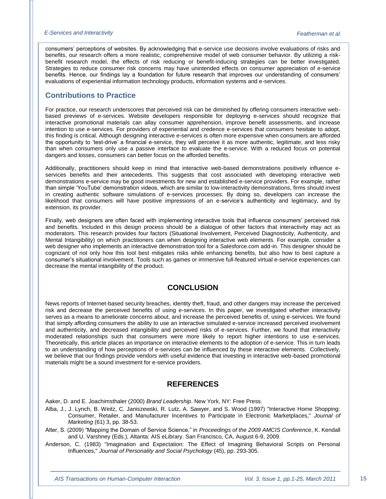consumers" perceptions of websites. By acknowledging that e-service use decisions involve evaluations of risks and benefits, our research offers a more realistic, comprehensive model of web consumer behavior. By utilizing a riskbenefit research model, the effects of risk reducing or benefit-inducing strategies can be better investigated. Strategies to reduce consumer risk concerns may have unintended effects on consumer appreciation of e-service benefits. Hence, our findings lay a foundation for future research that improves our understanding of consumers" evaluations of experiential information technology products, information systems and e-services.

## **Contributions to Practice**

For practice, our research underscores that perceived risk can be diminished by offering consumers interactive webbased previews of e-services. Website developers responsible for deploying e-services should recognize that interactive promotional materials can allay consumer apprehension, improve benefit assessments, and increase intention to use e-services. For providers of experiential and credence e-services that consumers hesitate to adopt, this finding is critical. Although designing interactive e-services is often more expensive when consumers are afforded the opportunity to 'test-drive' a financial e-service, they will perceive it as more authentic, legitimate, and less risky than when consumers only use a passive interface to evaluate the e-service. With a reduced focus on potential dangers and losses, consumers can better focus on the afforded benefits.

Additionally, practitioners should keep in mind that interactive web-based demonstrations positively influence eservices benefits and their antecedents. This suggests that cost associated with developing interactive web demonstrations e-service may be good investments for new and established e-service providers. For example, rather than simple "YouTube" demonstration videos, which are similar to low-interactivity demonstrations, firms should invest in creating authentic software simulations of e-services processes. By doing so, developers can increase the likelihood that consumers will have positive impressions of an e-service's authenticity and legitimacy, and by extension, its provider.

Finally, web designers are often faced with implementing interactive tools that influence consumers" perceived risk and benefits. Included in this design process should be a dialogue of other factors that interactivity may act as moderators. This research provides four factors (Situational Involvement, Perceived Diagnosticity, Authenticity, and Mental Intangibility) on which practitioners can when designing interactive web elements. For example, consider a web designer who implements an interactive demonstration tool for a Salesforce.com add-in. This designer should be cognizant of not only how this tool best mitigates risks while enhancing benefits, but also how to best capture a consumer"s situational involvement. Tools such as games or immersive full-featured virtual e-service experiences can decrease the mental intangibility of the product.

## **CONCLUSION**

News reports of Internet-based security breaches, identity theft, fraud, and other dangers may increase the perceived risk and decrease the perceived benefits of using e-services. In this paper, we investigated whether interactivity serves as a means to ameliorate concerns about, and increase the perceived benefits of, using e-services. We found that simply affording consumers the ability to use an interactive simulated e-service increased perceived involvement and authenticity, and decreased intangibility and perceived risks of e-services. Further, we found that interactivity moderated relationships such that consumers were more likely to report higher intentions to use e-services. Theoretically, this article places an importance on interactive elements to the adoption of e-service. This in turn leads to an understanding of how perceptions of e-services can be influenced by these interactive elements. Collectively, we believe that our findings provide vendors with useful evidence that investing in interactive web-based promotional materials might be a sound investment for e-service providers.

## <span id="page-15-0"></span>**REFERENCES**

Aaker, D. and E. Joachimsthaler (2000) *Brand Leadership*. New York, NY: Free Press.

- Alba, J., J. Lynch, B. Weitz, C. Janiszewski, R. Lutz, A. Sawyer, and S. Wood (1997) "Interactive Home Shopping: Consumer, Retailer, and Manufacturer Incentives to Participate in Electronic Marketplaces," *Journal of Marketing* (61) 3, pp. 38-53.
- Alter, S. (2009) "Mapping the Domain of Service Science," in *Proceedings of the 2009 AMCIS Conference*, K. Kendall and U. Varshney (Eds.), Altanta: AIS eLibrary. San Francisco, CA, August 6-9, 2009.
- Anderson, C. (1983) "Imagination and Expectation: The Effect of Imagining Behavioral Scripts on Personal Influences," *Journal of Personality and Social Psychology* (45), pp. 293-305.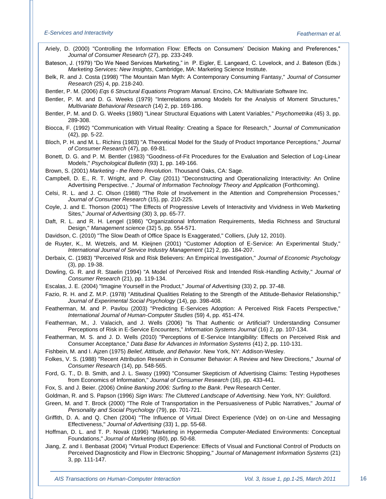- <span id="page-16-5"></span>Ariely, D. (2000) "Controlling the Information Flow: Effects on Consumers" Decision Making and Preferences," *Journal of Consumer Research* (27), pp. 233-249.
- <span id="page-16-1"></span>Bateson, J. (1979) "Do We Need Services Marketing," in P. Eigler, E. Langeard, C. Lovelock, and J. Bateson (Eds.) *Marketing Services: New Insights*, Cambridge, MA: Marketing Science Institute.
- <span id="page-16-8"></span>Belk, R. and J. Costa (1998) "The Mountain Man Myth: A Contemporary Consuming Fantasy," *Journal of Consumer Research* (25) 4, pp. 218-240.
- <span id="page-16-10"></span>Bentler, P. M. (2006) *Eqs 6 Structural Equations Program Manual*. Encino, CA: Multivariate Software Inc.
- <span id="page-16-11"></span>Bentler, P. M. and D. G. Weeks (1979) "Interrelations among Models for the Analysis of Moment Structures," *Multivariate Behavioral Research* (14) 2, pp. 169-186.
- Bentler, P. M. and D. G. Weeks (1980) "Linear Structural Equations with Latent Variables," *Psychometrika* (45) 3, pp. 289-308.
- Biocca, F. (1992) "Communication with Virtual Reality: Creating a Space for Research," *Journal of Communication* (42), pp. 5-22.
- <span id="page-16-9"></span>Bloch, P. H. and M. L. Richins (1983) "A Theoretical Model for the Study of Product Importance Perceptions," *Journal of Consumer Research* (47), pp. 69-81.
- <span id="page-16-2"></span>Bonett, D. G. and P. M. Bentler (1983) "Goodness-of-Fit Procedures for the Evaluation and Selection of Log-Linear Models," *Psychological Bulletin* (93) 1, pp. 149-166.
- Brown, S. (2001) *Marketing - the Retro Revolution*. Thousand Oaks, CA: Sage.
- Campbell, D. E., R. T. Wright, and P. Clay (2011) "Deconstructing and Operationalizing Interactivity: An Online Advertising Perspective. ," *Journal of Information Technology Theory and Application* (Forthcoming).
- Celsi, R. L. and J. C. Olson (1988) "The Role of Involvement in the Attention and Comprehension Processes," *Journal of Consumer Research* (15), pp. 210-225.
- Coyle, J. and E. Thorson (2001) "The Effects of Progressive Levels of Interactivity and Vividness in Web Marketing Sites," *Journal of Advertising* (30) 3, pp. 65-77.
- Daft, R. L. and R. H. Lengel (1986) "Organizational Information Requirements, Media Richness and Structural Design," *Management science* (32) 5, pp. 554-571.
- Davidson, C. (2010) "The Slow Death of Office Space Is Exaggerated," Colliers, (July 12, 2010).
- de Ruyter, K., M. Wetzels, and M. Kleijnen (2001) "Customer Adoption of E-Service: An Experimental Study," *International Journal of Service Industry Management* (12) 2, pp. 184-207.
- Derbaix, C. (1983) "Perceived Risk and Risk Believers: An Empirical Investigation," *Journal of Economic Psychology* (3), pp. 19-38.
- <span id="page-16-6"></span>Dowling, G. R. and R. Staelin (1994) "A Model of Perceived Risk and Intended Risk-Handling Activity," *Journal of Consumer Research* (21), pp. 119-134.
- Escalas, J. E. (2004) "Imagine Yourself in the Product," *Journal of Advertising* (33) 2, pp. 37-48.
- <span id="page-16-12"></span>Fazio, R. H. and Z. M.P. (1978) "Attitudinal Qualities Relating to the Strength of the Attitude-Behavior Relationship," *Journal of Experimental Social Psychology* (14), pp. 398-408.
- Featherman, M. and P. Pavlou (2003) "Predicting E-Services Adoption: A Perceived Risk Facets Perspective," *International Journal of Human-Computer Studies* (59) 4, pp. 451-474.
- <span id="page-16-4"></span><span id="page-16-0"></span>Featherman, M., J. Valacich, and J. Wells (2006) "Is That Authentic or Artificial? Understanding Consumer Perceptions of Risk in E-Service Encounters," *Information Systems Journal* (16) 2, pp. 107-134.
- Featherman, M. S. and J. D. Wells (2010) "Perceptions of E-Service Intangibility: Effects on Perceived Risk and Consumer Acceptance," *Data Base for Advances in Information Systems* (41) 2, pp. 110-131.
- Fishbein, M. and I. Ajzen (1975) *Belief, Attitude, and Behavior*. New York, NY: Addison-Wesley.
- Folkes, V. S. (1988) "Recent Attribution Research in Consumer Behavior: A Review and New Directions," *Journal of Consumer Research* (14), pp. 548-565.
- <span id="page-16-3"></span>Ford, G. T., D. B. Smith, and J. L. Swasy (1990) "Consumer Skepticism of Advertising Claims: Testing Hypotheses from Economics of Information," *Journal of Consumer Research* (16), pp. 433-441.
- Fox, S. and J. Beier. (2006) *Online Banking 2006: Surfing to the Bank*. Pew Research Center.

Goldman, R. and S. Papson (1996) *Sign Wars: The Cluttered Landscape of Advertising*. New York, NY: Guildford.

- Green, M. and T. Brock (2000) "The Role of Transportation in the Persuasiveness of Public Narratives," *Journal of Personality and Social Psychology* (79), pp. 701-721.
- <span id="page-16-7"></span>Griffith, D. A. and Q. Chen (2004) "The Influence of Virtual Direct Experience (Vde) on on-Line and Messaging Effectiveness," *Journal of Advertising* (33) 1, pp. 55-68.
- Hoffman, D. L. and T. P. Novak (1996) "Marketing in Hypermedia Computer-Mediated Environments: Conceptual Foundations," *Journal of Marketing* (60), pp. 50-68.
- Jiang, Z. and I. Benbasat (2004) "Virtual Product Experience: Effects of Visual and Functional Control of Products on Perceived Diagnosticity and Flow in Electronic Shopping," *Journal of Management Information Systems* (21) 3, pp. 111-147.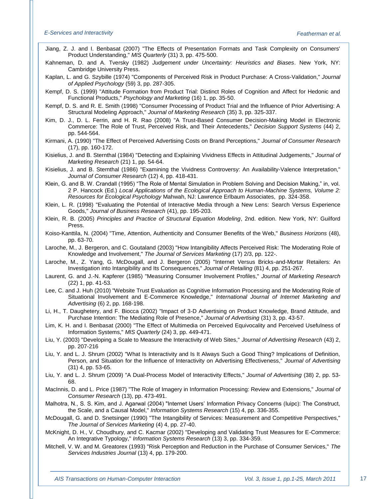- Jiang, Z. J. and I. Benbasat (2007) "The Effects of Presentation Formats and Task Complexity on Consumers' Product Understanding," *MIS Quarterly* (31) 3, pp. 475-500.
- Kahneman, D. and A. Tversky (1982) *Judgement under Uncertainty: Heuristics and Biases*. New York, NY: Cambridge University Press.

Kaplan, L. and G. Szybille (1974) "Components of Perceived Risk in Product Purchase: A Cross-Validation," *Journal of Applied Psychology* (59) 3, pp. 287-305.

<span id="page-17-7"></span>Kempf, D. S. (1999) "Attitude Formation from Product Trial: Distinct Roles of Cognition and Affect for Hedonic and Functional Products," *Psychology and Marketing* (16) 1, pp. 35-50.

Kempf, D. S. and R. E. Smith (1998) "Consumer Processing of Product Trial and the Influence of Prior Advertising: A Structural Modeling Approach," *Journal of Marketing Research* (35) 3, pp. 325-337.

- Kim, D. J., D. L. Ferrin, and H. R. Rao (2008) "A Trust-Based Consumer Decision-Making Model in Electronic Commerce: The Role of Trust, Perceived Risk, and Their Antecedents," *Decision Support Systems* (44) 2, pp. 544-564.
- <span id="page-17-1"></span>Kirmani, A. (1990) "The Effect of Perceived Advertising Costs on Brand Perceptions," *Journal of Consumer Research* (17), pp. 160-172.

Kisielius, J. and B. Sternthal (1984) "Detecting and Explaining Vividness Effects in Attitudinal Judgements," *Journal of Marketing Research* (21) 1, pp. 54-64.

- Kisielius, J. and B. Sternthal (1986) "Examining the Vividness Controversy: An Availability-Valence Interpretation," *Journal of Consumer Research* (12) 4, pp. 418-431.
- Klein, G. and B. W. Crandall (1995) "The Role of Mental Simulation in Problem Solving and Decision Making," in, vol. 2 P. Hancock (Ed.) *Local Applications of the Ecological Approach to Human-Machine Systems, Volume 2: Resources for Ecological Psychology* Mahwah, NJ: Lawrence Erlbaum Associates, pp. 324-358.
- <span id="page-17-8"></span>Klein, L. R. (1998) "Evaluating the Potential of Interactive Media through a New Lens: Search Versus Experience Goods," *Journal of Business Research* (41), pp. 195-203.
- <span id="page-17-0"></span>Klein, R. B. (2005) *Principles and Practice of Structural Equation Modeling*, 2nd. edition. New York, NY: Guilford Press.
- <span id="page-17-4"></span>Koiso-Kanttila, N. (2004) "Time, Attention, Authenticity and Consumer Benefits of the Web," *Business Horizons* (48), pp. 63-70.
- <span id="page-17-5"></span>Laroche, M., J. Bergeron, and C. Goutaland (2003) "How Intangibility Affects Perceived Risk: The Moderating Role of Knowledge and Involvement," *The Journal of Services Marketing* (17) 2/3, pp. 122-.
- Laroche, M., Z. Yang, G. McDougall, and J. Bergeron (2005) "Internet Versus Bricks-and-Mortar Retailers: An Investigation into Intangibility and Its Consequences," *Journal of Retailing* (81) 4, pp. 251-267.
- Laurent, G. and J.-N. Kapferer (1985) "Measuring Consumer Involvement Profiles," *Journal of Marketing Research* (22) 1, pp. 41-53.
- Lee, C. and J. Huh (2010) "Website Trust Evaluation as Cognitive Information Processing and the Moderating Role of Situational Involvement and E-Commerce Knowledge," *International Journal of Internet Marketing and Advertising* (6) 2, pp. 168-198.
- Li, H., T. Daughetery, and F. Biocca (2002) "Impact of 3-D Advertising on Product Knowledge, Brand Attitude, and Purchase Intention: The Mediating Role of Presence," *Journal of Advertising* (31) 3, pp. 43-57.
- Lim, K. H. and I. Benbasat (2000) "The Effect of Multimedia on Perceived Equivocality and Perceived Usefulness of Information Systems," *MIS Quarterly* (24) 3, pp. 449-471.
- Liu, Y. (2003) "Developing a Scale to Measure the Interactivity of Web Sites," *Journal of Advertising Research* (43) 2, pp. 207-216
- Liu, Y. and L. J. Shrum (2002) "What Is Interactivity and Is It Always Such a Good Thing? Implications of Definition, Person, and Situation for the Influence of Interactivity on Advertising Effectiveness," *Journal of Advertising* (31) 4, pp. 53-65.
- <span id="page-17-6"></span>Liu, Y. and L. J. Shrum (2009) "A Dual-Process Model of Interactivity Effects," *Journal of Advertising* (38) 2, pp. 53- 68.
- MacInnis, D. and L. Price (1987) "The Role of Imagery in Information Processing: Review and Extensions," *Journal of Consumer Research* (13), pp. 473-491.
- <span id="page-17-3"></span>Malhotra, N., S. S. Kim, and J. Agarwal (2004) "Internet Users" Information Privacy Concerns (Iuipc): The Construct, the Scale, and a Causal Model," *Information Systems Research* (15) 4, pp. 336-355.
- <span id="page-17-2"></span>McDougall, G. and D. Snetsinger (1990) "The Intangibility of Services: Measurement and Competitive Perspectives," *The Journal of Services Marketing* (4) 4, pp. 27-40.
- McKnight, D. H., V. Choudhury, and C. Kacmar (2002) "Developing and Validating Trust Measures for E-Commerce: An Integrative Typology," *Information Systems Research* (13) 3, pp. 334-359.
- Mitchell, V. W. and M. Greatorex (1993) "Risk Perception and Reduction in the Purchase of Consumer Services," *The Services Industries Journal* (13) 4, pp. 179-200.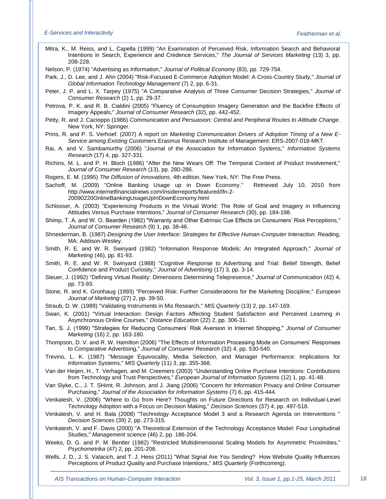Mitra, K., M. Reiss, and L. Capella (1999) "An Examination of Perceived Risk, Information Search and Behavioral Intentions in Search, Experience and Credence Services," *The Journal of Services Marketing* (13) 3, pp. 208-228.

Nelson, P. (1974) "Advertising as Information," *Journal of Political Economy* (83), pp. 729-754.

Park, J., D. Lee, and J. Ahn (2004) "Risk-Focused E-Commerce Adoption Model: A Cross-Country Study," *Journal of Global Information Technology Management* (7) 2, pp. 6-31.

<span id="page-18-2"></span>Peter, J. P. and L. X. Tarpey (1975) "A Comparative Analysis of Three Consumer Decision Strategies," *Journal of Consumer Research* (2) 1, pp. 29-37.

Petrova, P. K. and R. B. Cialdini (2005) "Fluency of Consumption Imagery Generation and the Backfire Effects of Imagery Appeals," *Journal of Consumer Research* (32), pp. 442-452.

Petty, R. and J. Cacioppo (1986) *Communication and Persuasion: Central and Peripheral Routes to Attitude Change*. New York, NY: Springer.

Prins, R. and P. S. Verhoef. (2007) A report on *Marketing Communication Drivers of Adoption Timing of a New E-Service among Existing Customers*.Erasmus Research Institute of Management: ERS-2007-018-MKT.

Rai, A. and V. Sambamurthy (2006) "Journal of the Association for Information Systems," *Information Systems Research* (17) 4, pp. 327-331.

Richins, M. L. and P. H. Bloch (1986) "After the New Wears Off: The Temporal Context of Product Involvement," *Journal of Consumer Research* (13), pp. 280-286.

Rogers, E. M. (1995) *The Diffusion of Innovations*, 4th edition. New York, NY: The Free Press.

<span id="page-18-3"></span>Sachoff, M. (2009) "Online Banking Usage up in Down Economy." Retrieved July 10, 2010 from http://www.internetfinancialnews.com/insiderreports/featured/ifn-2- 20090220OnlineBankingUsageUpInDownEconomy.html

Schlosser, A. (2003) "Experiencing Products in the Virtual World: The Role of Goal and Imagery in Influencing Attitudes Versus Purchase Intentions," *Journal of Consumer Research* (30), pp. 184-198.

Shimp, T. A. and W. O. Bearden (1982) "Warranty and Other Extrinsic Cue Effects on Consumers' Risk Perceptions," *Journal of Consumer Research* (9) 1, pp. 38-46.

Shneiderman, B. (1987) *Designing the User Interface: Strategies for Effective Human-Computer Interaction*. Reading, MA: Addison-Wesley.

Smith, R. E. and W. R. Swinyard (1982) "Information Response Models: An Integrated Approach," *Journal of Marketing* (46), pp. 81-93.

Smith, R. E. and W. R. Swinyard (1988) "Cognitive Response to Advertising and Trial: Belief Strength, Belief Confidence and Product Curiosity," *Journal of Advertising* (17) 3, pp. 3-14.

Steuer, J. (1992) "Defining Virtual Reality: Dimensions Determining Telepresence," *Journal of Communication* (42) 4, pp. 73-93.

<span id="page-18-6"></span>Stone, R. and K. Gronhaug (1993) "Perceived Risk: Further Considerations for the Marketing Discipline," *European Journal of Marketing* (27) 2, pp. 39-50.

<span id="page-18-1"></span>Straub, D. W. (1989) "Validating Instruments in Mis Research," *MIS Quarterly* (13) 2, pp. 147-169.

Swan, K. (2001) "Virtual Interaction: Design Factors Affecting Student Satisfaction and Perceived Learning in Asynchronous Online Courses," *Distance Education* (22) 2, pp. 306-31.

<span id="page-18-4"></span>Tan, S. J. (1999) "Strategies for Reducing Consumers" Risk Aversion in Internet Shopping," *Journal of Consumer Marketing* (16) 2, pp. 163-180.

Thompson, D. V. and R. W. Hamilton (2006) "The Effects of Information Processing Mode on Consumers" Responses to Comparative Advertising," *Journal of Consumer Research* (32) 4, pp. 530-540.

Trevino, L. K. (1987) "Message Equivocality, Media Selection, and Manager Performance: Implications for Information Systems," *MIS Quarterly* (11) 3, pp. 355-368.

Van der Heijen, H., T. Verhagen, and M. Creemers (2003) "Understanding Online Purchase Intentions: Contributions from Technology and Trust Perspectives," *European Journal of Information Systems* (12) 1, pp. 41-48.

Van Slyke, C., J. T. SHimt, R. Johnson, and J. Jiang (2006) "Concern for Information Privacy and Online Consumer Purchasing," *Journal of the Association for Information Systems* (7) 6, pp. 415-444.

Venkatesh, V. (2006) "Where to Go from Here? Thoughts on Future Directions for Research on Individual-Level Technology Adoption with a Focus on Decision Making," *Decision Sciences* (37) 4, pp. 497-518.

<span id="page-18-5"></span>Venkatesh, V. and H. Bala (2008) "Technology Acceptance Model 3 and a Research Agenda on Interventions " *Decision Sciences* (39) 2, pp. 273-315.

<span id="page-18-7"></span>Venkatesh, V. and F. Davis (2000) "A Theoretical Extension of the Technology Acceptance Model: Four Longitudinal Studies," *Management science* (46) 2, pp. 186-204.

<span id="page-18-0"></span>Weeks, D. G. and P. M. Bentler (1982) "Restricted Multidimensional Scaling Models for Asymmetric Proximities," *Psychometrika* (47) 2, pp. 201-208.

Wells, J. D., J. S. Valacich, and T. J. Hess (2011) "What Signal Are You Sending? How Website Quality Influences Perceptions of Product Quality and Purchase Intentions," *MIS Quarterly* (Forthcoming).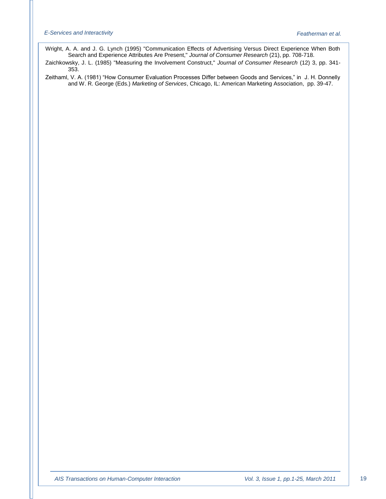Wright, A. A. and J. G. Lynch (1995) "Communication Effects of Advertising Versus Direct Experience When Both Search and Experience Attributes Are Present," *Journal of Consumer Research* (21), pp. 708-718.

<span id="page-19-1"></span>Zaichkowsky, J. L. (1985) "Measuring the Involvement Construct," *Journal of Consumer Research* (12) 3, pp. 341- 353.

<span id="page-19-0"></span>Zeithaml, V. A. (1981) "How Consumer Evaluation Processes Differ between Goods and Services," in J. H. Donnelly and W. R. George (Eds.) *Marketing of Services*, Chicago, IL: American Marketing Association, pp. 39-47.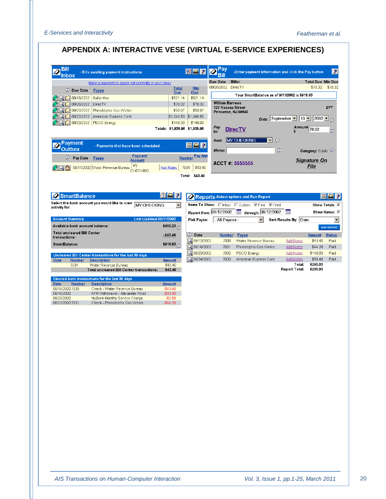## **APPENDIX A: INTERACTIVE VESE (VIRTUAL E-SERVICE EXPERIENCES)**

|                                                                                                                                                                      | Make a payment to payee not currently in your Inbox                               |                                             |                                                              |                           | Due Date                                 | <b>Biller</b>                                                                           |                           |                                                         | <b>Total Due Min Due</b>             |                                                                                    |
|----------------------------------------------------------------------------------------------------------------------------------------------------------------------|-----------------------------------------------------------------------------------|---------------------------------------------|--------------------------------------------------------------|---------------------------|------------------------------------------|-----------------------------------------------------------------------------------------|---------------------------|---------------------------------------------------------|--------------------------------------|------------------------------------------------------------------------------------|
| <b>Due Date</b>                                                                                                                                                      | Payee                                                                             |                                             | <b>Total</b><br><b>Due</b>                                   | Min<br><b>Due</b>         | 09/20/2002                               | <b>DirecTV</b>                                                                          |                           |                                                         | \$78.32                              | \$78.32                                                                            |
| 3019/19/2002                                                                                                                                                         | Sallie Mae                                                                        |                                             | \$621.14                                                     | \$621.14                  |                                          |                                                                                         |                           | Your SmartBalance as of 9/11/2002 is \$916.83           |                                      |                                                                                    |
| 109/20/2002                                                                                                                                                          | DirecTV                                                                           |                                             | \$78.32                                                      | \$78.32                   | <b>William Barrows</b>                   |                                                                                         |                           |                                                         |                                      |                                                                                    |
| 09/22/2002                                                                                                                                                           | Philadelphia Gas Works                                                            |                                             | \$50.97                                                      | \$50.97                   | 123 Nassau Street<br>Princeton, NJ 08540 |                                                                                         |                           |                                                         |                                      | EFT                                                                                |
| 09/22/2002                                                                                                                                                           | American Express Card                                                             |                                             | \$1,040.50                                                   | \$1,040.50                |                                          |                                                                                         |                           |                                                         |                                      |                                                                                    |
| 09/23/2002                                                                                                                                                           | PECO Energy                                                                       |                                             | \$148.03                                                     | \$148.03                  |                                          |                                                                                         |                           | Date: September $\bullet$ 13 $\bullet$ 2002 $\bullet$ 0 |                                      |                                                                                    |
|                                                                                                                                                                      |                                                                                   |                                             | Totals: \$1,938.96 \$1,938.96                                |                           | Pay<br>to:                               | <b>DirecTV</b>                                                                          |                           |                                                         | Amount 78.32                         | $\odot$                                                                            |
|                                                                                                                                                                      |                                                                                   |                                             |                                                              |                           | Acct:                                    | <b>MY CHECKING</b>                                                                      | $\vert$<br>$\circledcirc$ |                                                         |                                      |                                                                                    |
| Pavment<br>Outbox                                                                                                                                                    | - Payments that have been scheduled                                               |                                             |                                                              | HA?                       |                                          |                                                                                         |                           |                                                         |                                      |                                                                                    |
| $\mathcal{P}$ Pay Date                                                                                                                                               |                                                                                   | Payment                                     |                                                              | <b>Number Pay Amt</b>     | Memo:                                    |                                                                                         |                           | $\circledcirc$                                          | <b>Category:</b> Cable $\mathcal{P}$ |                                                                                    |
|                                                                                                                                                                      | Payee                                                                             | <b>Account</b>                              |                                                              |                           |                                          |                                                                                         |                           |                                                         | <b>Signature On</b>                  |                                                                                    |
|                                                                                                                                                                      |                                                                                   |                                             |                                                              |                           | ACCT #: 5555555                          |                                                                                         |                           |                                                         |                                      |                                                                                    |
|                                                                                                                                                                      | 09/11/2002 Water Revenue Bureau<br>Select the bank account you would like to view | MY<br><b>CHECKING</b><br><b>MY CHECKING</b> | <b>Add Notes</b><br>7034<br>88 ?<br>$\overline{\phantom{a}}$ | \$43.40<br>Total: \$43.40 |                                          | Reports-Select options and Run Report<br>Items To Show: □ Inbox □ Outbox □ Paid □ Filed |                           |                                                         | File<br>Show Totals: $\nabla$        | 用A                                                                                 |
| <b>SmartBalance</b><br>activity for:                                                                                                                                 |                                                                                   |                                             |                                                              | Report from: 08/12/2002   |                                          | $\frac{1}{2}$ through: 09/12/2002                                                       |                           | E                                                       | Show Notes: M                        |                                                                                    |
| <b>Account Summary</b><br>Available bank account balance:                                                                                                            |                                                                                   | <b>Last Updated 09/11/2002</b>              |                                                              | Pick Payee:               | --All Pavees--                           |                                                                                         |                           | Sort Results By: Date                                   |                                      |                                                                                    |
|                                                                                                                                                                      |                                                                                   |                                             | \$960.23                                                     |                           |                                          |                                                                                         |                           |                                                         |                                      |                                                                                    |
|                                                                                                                                                                      |                                                                                   |                                             | $- $43.40$                                                   | <b><i>D</i></b> Date      | <b>Number</b>                            | Payee                                                                                   |                           |                                                         | <b>Amount</b>                        |                                                                                    |
|                                                                                                                                                                      |                                                                                   |                                             | \$916.83 $_{\odot}$                                          | Q 08/12/2002              | 7030                                     | Water Revenue Bureau                                                                    |                           | <b>Add Notes</b>                                        | \$43.40                              |                                                                                    |
|                                                                                                                                                                      |                                                                                   |                                             |                                                              | Q 08/16/2002              | 7031                                     | Philadelphia Gas Works                                                                  |                           | <b>Add Notes</b>                                        | \$44.20                              |                                                                                    |
|                                                                                                                                                                      | Uncleared Bill Center transactions for the last 30 days                           |                                             |                                                              | Q 08/23/2002              | 7032<br>7033                             | PECO Energy                                                                             |                           | <b>Add Notes</b>                                        | \$148.03<br>\$59.40                  |                                                                                    |
| <b>Number</b><br>7034                                                                                                                                                | <b>Description</b><br>Water Revenue Bureau                                        |                                             | <b>Amount</b><br>\$43.40                                     | Q 08/24/2002              |                                          | American Express Card                                                                   |                           | <b>Add Notes</b><br>Total:                              | \$295.03                             |                                                                                    |
|                                                                                                                                                                      | Total uncleared Bill Center transactions:                                         |                                             | \$43.40                                                      |                           |                                          |                                                                                         |                           | Report Total:                                           | \$295.03                             |                                                                                    |
|                                                                                                                                                                      | Cleared bank transactions for the last 30 days                                    |                                             |                                                              |                           |                                          |                                                                                         |                           |                                                         |                                      |                                                                                    |
| <b>Number</b>                                                                                                                                                        | <b>Description</b>                                                                |                                             | <b>Amount</b>                                                |                           |                                          |                                                                                         |                           |                                                         |                                      | Paid                                                                               |
|                                                                                                                                                                      | Check - Water Revenue Bureau<br>ATM Withdrawal - Alexander Road                   |                                             | $-$43.40$<br>$-$ \$60.00                                     |                           |                                          |                                                                                         |                           |                                                         |                                      |                                                                                    |
| <b>Total uncleared Bill Center</b><br>transactions:<br>SmartBalance:<br><b>Date</b><br><b>Date</b><br>08/16/2002 7030<br>08/18/2002<br>08/20/2002<br>08/21/2002 7031 | MyBank Monthly Service Charge<br>Check - Philadelphia Gas Works                   |                                             | $-$2.50$<br>$-$44.20$                                        |                           |                                          |                                                                                         |                           |                                                         |                                      | $\blacktriangledown$<br><b>RUN REPORT</b><br><b>Status</b><br>Paid<br>Paid<br>Paid |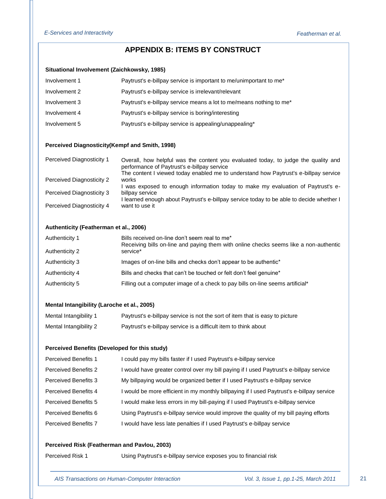## **APPENDIX B: ITEMS BY CONSTRUCT**

### **Situational Involvement [\(Zaichkowsky, 1985\)](#page-19-1)**

| Involvement 1 | Paytrust's e-billpay service is important to me/unimportant to me*  |
|---------------|---------------------------------------------------------------------|
| Involvement 2 | Paytrust's e-billpay service is irrelevant/relevant                 |
| Involvement 3 | Paytrust's e-billpay service means a lot to me/means nothing to me* |
| Involvement 4 | Paytrust's e-billpay service is boring/interesting                  |
| Involvement 5 | Paytrust's e-billpay service is appealing/unappealing*              |

## **Perceived Diagnosticity(Kempf [and Smith, 1998\)](#page-17-7)**

| <b>Perceived Diagnosticity 1</b> | Overall, how helpful was the content you evaluated today, to judge the quality and<br>performance of Paytrust's e-billpay service<br>The content I viewed today enabled me to understand how Paytrust's e-billpay service |
|----------------------------------|---------------------------------------------------------------------------------------------------------------------------------------------------------------------------------------------------------------------------|
| Perceived Diagnosticity 2        | works                                                                                                                                                                                                                     |
|                                  | I was exposed to enough information today to make my evaluation of Paytrust's e-                                                                                                                                          |
| Perceived Diagnosticity 3        | billpay service                                                                                                                                                                                                           |
|                                  | I learned enough about Paytrust's e-billpay service today to be able to decide whether I                                                                                                                                  |
| Perceived Diagnosticity 4        | want to use it                                                                                                                                                                                                            |

### **Authenticity [\(Featherman et al., 2006\)](#page-16-0)**

| Authenticity 1<br>Authenticity 2 | Bills received on-line don't seem real to me*<br>Receiving bills on-line and paying them with online checks seems like a non-authentic<br>service* |
|----------------------------------|----------------------------------------------------------------------------------------------------------------------------------------------------|
| Authenticity 3                   | Images of on-line bills and checks don't appear to be authentic*                                                                                   |
| Authenticity 4                   | Bills and checks that can't be touched or felt don't feel genuine*                                                                                 |
| Authenticity 5                   | Filling out a computer image of a check to pay bills on-line seems artificial*                                                                     |

#### **Mental Intangibility [\(Laroche et al., 2005\)](#page-17-5)**

| Mental Intangibility 1 | Paytrust's e-billpay service is not the sort of item that is easy to picture |
|------------------------|------------------------------------------------------------------------------|
| Mental Intangibility 2 | Paytrust's e-billpay service is a difficult item to think about              |

### **Perceived Benefits (Developed for this study)**

| <b>Perceived Benefits 1</b> | I could pay my bills faster if I used Paytrust's e-billpay service                        |
|-----------------------------|-------------------------------------------------------------------------------------------|
| <b>Perceived Benefits 2</b> | I would have greater control over my bill paying if I used Paytrust's e-billpay service   |
| <b>Perceived Benefits 3</b> | My billpaying would be organized better if I used Paytrust's e-billpay service            |
| <b>Perceived Benefits 4</b> | I would be more efficient in my monthly billpaying if I used Paytrust's e-billpay service |
| <b>Perceived Benefits 5</b> | I would make less errors in my bill-paying if I used Paytrust's e-billpay service         |
| Perceived Benefits 6        | Using Paytrust's e-billpay service would improve the quality of my bill paying efforts    |
| <b>Perceived Benefits 7</b> | I would have less late penalties if I used Paytrust's e-billpay service                   |
|                             |                                                                                           |

## **Perceived Risk [\(Featherman and Pavlou, 2003\)](#page-16-12)**

Perceived Risk 1 Using Paytrust's e-billpay service exposes you to financial risk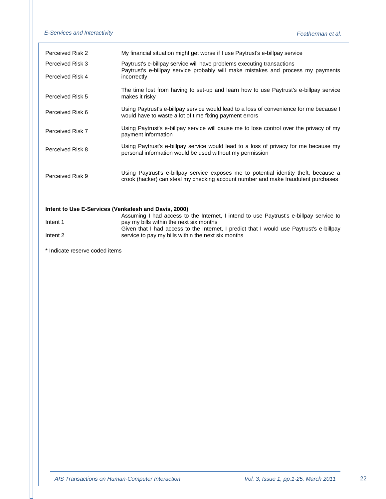| Perceived Risk 2                                     | My financial situation might get worse if I use Paytrust's e-billpay service                                                                                              |
|------------------------------------------------------|---------------------------------------------------------------------------------------------------------------------------------------------------------------------------|
| Perceived Risk 3                                     | Paytrust's e-billpay service will have problems executing transactions<br>Paytrust's e-billpay service probably will make mistakes and process my payments                |
| Perceived Risk 4                                     | incorrectly                                                                                                                                                               |
| Perceived Risk 5                                     | The time lost from having to set-up and learn how to use Paytrust's e-billpay service<br>makes it risky                                                                   |
| Perceived Risk 6                                     | Using Paytrust's e-billpay service would lead to a loss of convenience for me because I<br>would have to waste a lot of time fixing payment errors                        |
| Perceived Risk 7                                     | Using Paytrust's e-billpay service will cause me to lose control over the privacy of my<br>payment information                                                            |
| Perceived Risk 8                                     | Using Paytrust's e-billpay service would lead to a loss of privacy for me because my<br>personal information would be used without my permission                          |
| Perceived Risk 9                                     | Using Paytrust's e-billpay service exposes me to potential identity theft, because a<br>crook (hacker) can steal my checking account number and make fraudulent purchases |
| Intent to Use E-Services (Venkatesh and Davis, 2000) |                                                                                                                                                                           |
|                                                      | Assuming I had access to the Internet, I intend to use Paytrust's e-billpay service to                                                                                    |
| Intent 1                                             | pay my bills within the next six months                                                                                                                                   |
|                                                      | Given that I had access to the Internet, I predict that I would use Paytrust's e-billpay                                                                                  |

service to pay my bills within the next six months

Intent 2

\* Indicate reserve coded items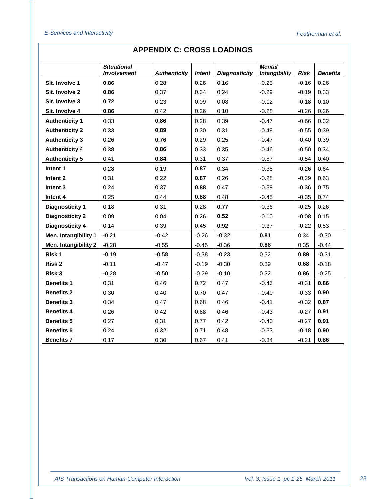|                        | <b>Situational</b><br><b>Involvement</b> | <b>Authenticity</b> | <b>Intent</b> | <b>Diagnosticity</b> | <b>Mental</b><br><b>Intangibility</b> | <b>Risk</b> | <b>Benefits</b> |
|------------------------|------------------------------------------|---------------------|---------------|----------------------|---------------------------------------|-------------|-----------------|
| Sit. Involve 1         | 0.86                                     | 0.28                | 0.26          | 0.16                 | $-0.23$                               | $-0.16$     | 0.26            |
| Sit. Involve 2         | 0.86                                     | 0.37                | 0.34          | 0.24                 | $-0.29$                               | $-0.19$     | 0.33            |
| Sit. Involve 3         | 0.72                                     | 0.23                | 0.09          | 0.08                 | $-0.12$                               | $-0.18$     | 0.10            |
| Sit. Involve 4         | 0.86                                     | 0.42                | 0.26          | 0.10                 | $-0.28$                               | $-0.26$     | 0.26            |
| <b>Authenticity 1</b>  | 0.33                                     | 0.86                | 0.28          | 0.39                 | $-0.47$                               | $-0.66$     | 0.32            |
| <b>Authenticity 2</b>  | 0.33                                     | 0.89                | 0.30          | 0.31                 | $-0.48$                               | $-0.55$     | 0.39            |
| <b>Authenticity 3</b>  | 0.26                                     | 0.76                | 0.29          | 0.25                 | $-0.47$                               | $-0.40$     | 0.39            |
| <b>Authenticity 4</b>  | 0.38                                     | 0.86                | 0.33          | 0.35                 | $-0.46$                               | $-0.50$     | 0.34            |
| <b>Authenticity 5</b>  | 0.41                                     | 0.84                | 0.31          | 0.37                 | $-0.57$                               | $-0.54$     | 0.40            |
| Intent 1               | 0.28                                     | 0.19                | 0.87          | 0.34                 | $-0.35$                               | $-0.26$     | 0.64            |
| Intent 2               | 0.31                                     | 0.22                | 0.87          | 0.26                 | $-0.28$                               | $-0.29$     | 0.63            |
| Intent 3               | 0.24                                     | 0.37                | 0.88          | 0.47                 | $-0.39$                               | $-0.36$     | 0.75            |
| Intent 4               | 0.25                                     | 0.44                | 0.88          | 0.48                 | $-0.45$                               | $-0.35$     | 0.74            |
| <b>Diagnosticity 1</b> | 0.18                                     | 0.31                | 0.28          | 0.77                 | $-0.36$                               | $-0.25$     | 0.26            |
| <b>Diagnosticity 2</b> | 0.09                                     | 0.04                | 0.26          | 0.52                 | $-0.10$                               | $-0.08$     | 0.15            |
| <b>Diagnosticity 4</b> | 0.14                                     | 0.39                | 0.45          | 0.92                 | $-0.37$                               | $-0.22$     | 0.53            |
| Men. Intangibility 1   | $-0.21$                                  | $-0.42$             | $-0.26$       | $-0.32$              | 0.81                                  | 0.34        | $-0.30$         |
| Men. Intangibility 2   | $-0.28$                                  | $-0.55$             | $-0.45$       | $-0.36$              | 0.88                                  | 0.35        | $-0.44$         |
| Risk 1                 | $-0.19$                                  | $-0.58$             | $-0.38$       | $-0.23$              | 0.32                                  | 0.89        | $-0.31$         |
| Risk 2                 | $-0.11$                                  | $-0.47$             | $-0.19$       | $-0.30$              | 0.39                                  | 0.68        | $-0.18$         |
| Risk 3                 | $-0.28$                                  | $-0.50$             | $-0.29$       | $-0.10$              | 0.32                                  | 0.86        | $-0.25$         |
| <b>Benefits 1</b>      | 0.31                                     | 0.46                | 0.72          | 0.47                 | $-0.46$                               | $-0.31$     | 0.86            |
| <b>Benefits 2</b>      | 0.30                                     | 0.40                | 0.70          | 0.47                 | $-0.40$                               | $-0.33$     | 0.90            |
| <b>Benefits 3</b>      | 0.34                                     | 0.47                | 0.68          | 0.46                 | $-0.41$                               | $-0.32$     | 0.87            |
| <b>Benefits 4</b>      | 0.26                                     | 0.42                | 0.68          | 0.46                 | $-0.43$                               | $-0.27$     | 0.91            |
| <b>Benefits 5</b>      | 0.27                                     | 0.31                | 0.77          | 0.42                 | $-0.40$                               | $-0.27$     | 0.91            |
| <b>Benefits 6</b>      | 0.24                                     | 0.32                | 0.71          | 0.48                 | $-0.33$                               | $-0.18$     | 0.90            |
| <b>Benefits 7</b>      | 0.17                                     | 0.30                | 0.67          | 0.41                 | $-0.34$                               | $-0.21$     | 0.86            |

## **APPENDIX C: CROSS LOADINGS**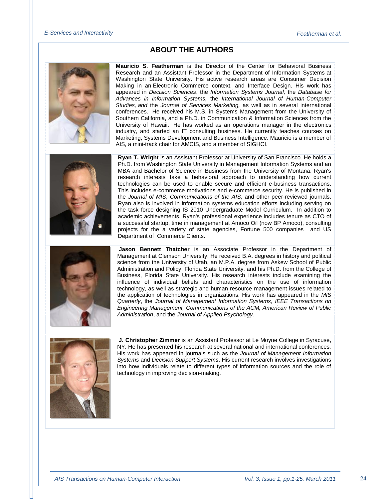## **ABOUT THE AUTHORS**





**Mauricio S. Featherman** is the Director of the Center for Behavioral Business Research and an Assistant Professor in the Department of Information Systems at Washington State University. His active research areas are Consumer Decision Making in an Electronic Commerce context, and Interface Design. His work has appeared in *Decision Sciences*, the *Information Systems Journal,* the *Database for Advances in Information Systems,* the *International Journal of Human-Computer Studies, and* the *Journal of Services Marketing,* as well as in several international conferences. He received his M.S. in Systems Management from the University of Southern California, and a Ph.D. in Communication & Information Sciences from the University of Hawaii. He has worked as an operations manager in the electronics industry, and started an IT consulting business. He currently teaches courses on Marketing, Systems Development and Business Intelligence. Mauricio is a member of AIS, a mini-track chair for AMCIS, and a member of SIGHCI.

**Ryan T. Wright** is an Assistant Professor at University of San Francisco. He holds a Ph.D. from Washington State University in Management Information Systems and an MBA and Bachelor of Science in Business from the University of Montana. Ryan's research interests take a behavioral approach to understanding how current technologies can be used to enable secure and efficient e-business transactions. This includes e-commerce motivations and e-commerce security. He is published in the *Journal of MIS*, *Communications of the AIS*, and other peer-reviewed journals. Ryan also is involved in information systems education efforts including serving on the task force designing IS 2010 Undergraduate Model Curriculum. In addition to academic achievements, Ryan's professional experience includes tenure as CTO of a successful startup, time in management at Amoco Oil (now BP Amoco), consulting projects for the a variety of state agencies, Fortune 500 companies and US Department of Commerce Clients.

**Jason Bennett Thatcher** is an Associate Professor in the Department of Management at Clemson University. He received B.A. degrees in history and political science from the University of Utah, an M.P.A. degree from Askew School of Public Administration and Policy, Florida State University, and his Ph.D. from the College of Business, Florida State University. His research interests include examining the influence of individual beliefs and characteristics on the use of information technology, as well as strategic and human resource management issues related to the application of technologies in organizations. His work has appeared in the *MIS Quarterly*, the *Journal of Management Information Systems*, *IEEE Transactions on Engineering Management, Communications of the ACM, American Review of Public Administration*, and the *Journal of Applied Psychology*.



**J. Christopher Zimmer** is an Assistant Professor at Le Moyne College in Syracuse, NY. He has presented his research at several national and international conferences. His work has appeared in journals such as the *Journal of Management Information Systems* and *Decision Support Systems*. His current research involves investigations into how individuals relate to different types of information sources and the role of technology in improving decision-making.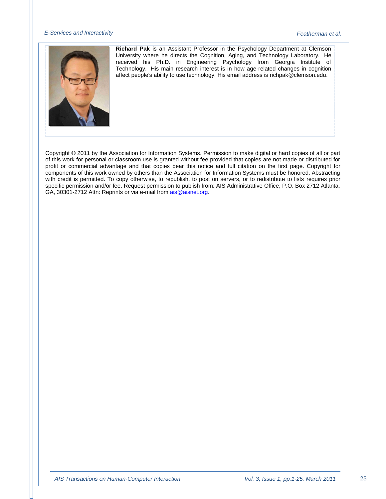

**Richard Pak** is an Assistant Professor in the Psychology Department at Clemson University where he directs the Cognition, Aging, and Technology Laboratory. He received his Ph.D. in Engineering Psychology from Georgia Institute of Technology. His main research interest is in how age-related changes in cognition affect people's ability to use technology. His email address is richpak@clemson.edu.

Copyright © 2011 by the Association for Information Systems. Permission to make digital or hard copies of all or part of this work for personal or classroom use is granted without fee provided that copies are not made or distributed for profit or commercial advantage and that copies bear this notice and full citation on the first page. Copyright for components of this work owned by others than the Association for Information Systems must be honored. Abstracting with credit is permitted. To copy otherwise, to republish, to post on servers, or to redistribute to lists requires prior specific permission and/or fee. Request permission to publish from: AIS Administrative Office, P.O. Box 2712 Atlanta, GA, 30301-2712 Attn: Reprints or via e-mail fro[m ais@aisnet.org.](mailto:ais@gsu.edu)